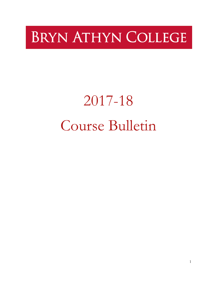# **BRYN ATHYN COLLEGE**

# 2017-18 Course Bulletin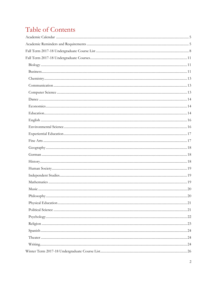# Table of Contents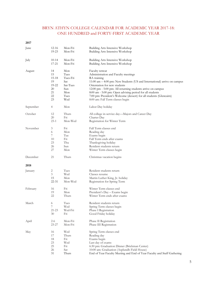### BRYN ATHYN COLLEGE CALENDAR FOR ACADEMIC YEAR 2017-18: ONE HUNDRED and FORTY-FIRST ACADEMIC YEAR

<span id="page-4-0"></span>

| June      | $12 - 16$      | Mon-Fri  | Building Arts Intensive Workshop                                            |
|-----------|----------------|----------|-----------------------------------------------------------------------------|
|           | 19-23          | Mon-Fri  | Building Arts Intensive Workshop                                            |
| July      | $10 - 14$      | Mon-Fri  | Building Arts Intensive Workshop                                            |
|           | 17-21          | Mon-Fri  | Building Arts Intensive Workshop                                            |
| August    | 14             | Mon      | Faculty retreat                                                             |
|           | 15             | Tues     | Administration and Faculty meetings                                         |
|           | 15-18          | Tues-Fri | RA training                                                                 |
|           | 19             | Sat      | $11:00$ am $-4:00$ pm: New Students (US and International) arrive on campus |
|           | 19-22          | Sat-Tues | Orientation for new students                                                |
|           | 20             | Sun      | 12:00 pm - 5:00 pm: All returning students arrive on campus                 |
|           | 21             | Mon      | 8:00 am - 5:00 pm: Open advising period for all students                    |
|           | 22             | Tues     | 7:00 pm: President's Welcome (dessert) for all students (Glencairn)         |
|           | 23             | Wed      | 8:00 am: Fall Term classes begin                                            |
| September | $\overline{4}$ | Mon      | Labor Day holiday                                                           |
| October   | 12             | Thurs    | All college in-service day-Majors and Career Day                            |
|           | 20             | Fri      | Charter Day                                                                 |
|           | $23-1$         | Mon-Wed  | Registration for Winter Term                                                |
| November  | 3              | Fri      | Fall Term classes end                                                       |
|           | 6              | Mon      | Reading day                                                                 |
|           | 7              | Tue      | Exams begin                                                                 |
|           | 10             | Fri      | Fall Term ends after exams                                                  |
|           | 23             | Thu      | Thanksgiving holiday                                                        |
|           | 26             | Sun      | Resident students return                                                    |
|           | 27             | Mon      | Winter Term classes begin                                                   |
| December  | 21             | Thurs    | Christmas vacation begins                                                   |
| 2018      |                |          |                                                                             |
| January   | $\overline{c}$ | Tues     | Resident students return                                                    |
|           | 3              | Wed      | Classes resume                                                              |
|           | 15             | Mon      | Martin Luther King, Jr. holiday                                             |
|           | 22-31          | Mon-Wed  | Registration for Spring Term                                                |
| February  | 16             | Fri      | Winter Term classes end                                                     |
|           | 19             | Mon      | President's Day - Exams begin                                               |
|           | 22             | Thurs    | Winter Term ends after exams                                                |
| March     | 6              | Tues     | Resident students return                                                    |
|           | 7              | Wed      | Spring Term classes begin                                                   |
|           | 21-23          | Wed-Fri  | Phase I Registration                                                        |
|           | 30             | Fri      | Good Friday holiday                                                         |
| April     | $2 - 6$        | Mon-Fri  | Phase II Registration                                                       |
|           | $23 - 27$      | Mon-Fri  | Phase III Registration                                                      |
| May       | 16             | Wed      | Spring Term classes end                                                     |
|           | 17             | Thurs    | Reading day                                                                 |
|           | 18             | Fri      | Exams begin                                                                 |
|           | 23             | Wed      | Last day of exams                                                           |
|           | 25             | Fri      | 6:30 pm: Graduation Dinner (Brickman Center)                                |
|           | 26             | Sat      | 10:00 am: Graduation (Asplundh Field House)                                 |
|           | 31             | Thurs    | End of Year Faculty Meeting and End of Year Faculty and Staff Gathering     |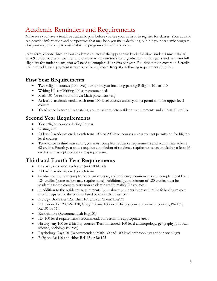# Academic Reminders and Requirements

Make sure you have a tentative academic plan before you see your advisor to register for classes. Your advisor can provide information and perspectives that may help you make decisions, but it is your academic program. It is your responsibility to ensure it is the program you want and need.

Each term, choose three or four academic courses at the appropriate level. Full-time students must take at least 9 academic credits each term. However, to stay on track for a graduation in four years and maintain full eligibility for student loans, you will need to complete 31 credits per year. Full-time tuition covers 14.5 credits per term; additional payment is necessary for any more. Keep the following requirements in mind:

# **First Year Requirements**

- Two religion courses (100-level) during the year including passing Religion 101 or 110
- Writing 101 (or Writing 100 as recommended)
- Math 101 (or test out of it via Math placement test)
- At least 9 academic credits each term 100-level courses unless you get permission for upper-level courses
- To advance to second year status, you must complete residency requirements and at least 31 credits.

# **Second Year Requirements**

- Two religion courses during the year
- Writing 202
- At least 9 academic credits each term 100- or 200-level courses unless you get permission for higherlevel courses
- To advance to third year status, you must complete residency requirements and accumulate at least 62 credits. Fourth year status requires completion of residency requirements, accumulating at least 93 credits, and acceptance into a major program.

# **Third and Fourth Year Requirements**

- One religion course each year (not 100-level)
- At least 9 academic credits each term
- Graduation requires completion of major, core, and residency requirements and completing at least 124 credits (some majors may require more). Additionally, a minimum of 120 credits must be academic (some courses carry non-academic credit, mainly PE courses).
- In addition to the residency requirements listed above, students interested in the following majors should register for the courses listed below in their first year:
- Biology: Bio122 & 123, Chem101 and/or Chem110&111
- Education: Ed128, ESci110, Geog110, any 100-level History course, two math courses, Phil102, Rel101 or 110
- English: n/a (Recommended: Eng105)
- ID: 100-level requirements/recommendations from the appropriate areas
- History: any 100-level history courses (Recommended: 100-level anthropology, geography, political science, sociology courses)
- Psychology: Psyc101 (Recommended: Math130 and 100-level anthropology and/or sociology)
- Religion: Rel110 and either Rel115 or Rel125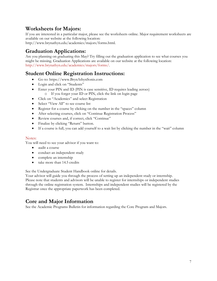# **Worksheets for Majors:**

If you are interested in a particular major, please see the worksheets online. Major requirement worksheets are available on our website at the following location:

http://www.brynathyn.edu/academics/majors/forms.html.

# **Graduation Applications:**

Are you planning on graduating this May? Try filling out the graduation application to see what courses you might be missing. Graduation Applications are available on our website at the following location: http://www.brynathyn.edu/academics/majors/forms/.

# **Student Online Registration Instructions:**

- Go to: https://www.BrynAthynSonis.com
- Login and click on "Students"
- Enter your PIN and ID (PIN is case sensitive, ID requires leading zeroes) o If you forget your ID or PIN, click the link on login page
- Click on "Academics" and select Registration
- Select "View All" to see course list
- Register for a course by clicking on the number in the "spaces" column
- After selecting courses, click on "Continue Registration Process"
- Review courses and, if correct, click "Continue"
- Finalize by clicking "Return" button.
- If a course is full, you can add yourself to a wait list by clicking the number in the "wait" column

#### Notes:

You will need to see your advisor if you want to:

- audit a course
- conduct an independent study
- complete an internship
- take more than 14.5 credits

See the Undergraduate Student Handbook online for details.

Your advisor will guide you through the process of setting up an independent study or internship. Please note that students and advisors will be unable to register for internships or independent studies through the online registration system. Internships and independent studies will be registered by the Registrar once the appropriate paperwork has been completed.

# **Core and Major Information**

See the Academic Programs Bulletin for information regarding the Core Program and Majors.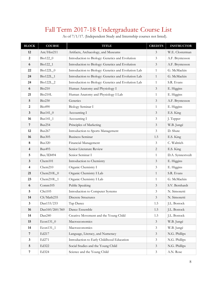# Fall Term 2017-18 Undergraduate Course List

<span id="page-7-0"></span>

| <b>BLOCK</b>            | <b>COURSE</b>  | <b>TITLE</b>                                        | <b>CREDITS</b>              | <b>INSTRUCTOR</b> |
|-------------------------|----------------|-----------------------------------------------------|-----------------------------|-------------------|
| 12                      | Ant/Hist211    | Artifacts, Archaeology, and Museums                 | 3                           | W.E. Closterman   |
| $\boldsymbol{2}$        | Bio122_0       | Introduction to Biology: Genetics and Evolution     | $\mathfrak{Z}$              | A.F. Bryntesson   |
| 6                       | Bio122_1       | Introduction to Biology: Genetics and Evolution     | $\mathfrak{Z}$              | A.F. Bryntesson   |
| 22                      | Bio122L_0      | Introduction to Biology: Genetics and Evolution Lab | $\mathbf{1}$                | G. McMackin       |
| 24                      | Bio122L_1      | Introduction to Biology: Genetics and Evolution Lab | $\mathbf{1}$                | G. McMackin       |
| 24                      | Bio122L_2      | Introduction to Biology: Genetics and Evolution Lab | $\mathbf{1}$                | S.R. Evans        |
| 6                       | <b>Bio210</b>  | Human Anatomy and Physiology I                      | $\mathfrak{Z}$              | E. Higgins        |
| 21                      | Bio210L        | Human Anatomy and Physiology I Lab                  | $\mathbf{1}$                | E. Higgins        |
| $\overline{5}$          | <b>Bio230</b>  | Genetics                                            | $\mathfrak{Z}$              | A.F. Bryntesson   |
| $\overline{2}$          | <b>Bio490</b>  | Biology Seminar I                                   | $\mathbf{1}$                | E. Higgins        |
| $\mathbf{3}$            | Bus141_0       | Accounting I                                        | $\mathfrak{Z}$              | E.S. King         |
| 16                      | Bus141_1       | Accounting I                                        | $\mathfrak{Z}$              | J. Tepper         |
| 7                       | Bus254         | Principles of Marketing                             | $\mathfrak{Z}$              | W.B. Jungé        |
| 12                      | Bus267         | Introduction to Sports Management                   | 3                           | D. Shute          |
| 16                      | <b>Bus305</b>  | <b>Business Seminar</b>                             | 1.5                         | E.S. King         |
| 8                       | <b>Bus320</b>  | Financial Management                                | $\mathfrak{Z}$              | C. Waltrich       |
| $\overline{\mathbf{4}}$ | <b>Bus493</b>  | Senior Literature Review                            | $\overline{2}$              | E.S. King         |
| 5                       | Bus/ID494      | Senior Seminar I                                    | $\mathbf{1}$                | D.A. Synnestvedt  |
| $\mathbf{3}$            | Chem101        | Introduction to Chemistry                           | $\mathfrak{Z}$              | E. Higgins        |
| 4                       | Chem210        | Organic Chemistry I                                 | 3                           | E. Higgins        |
| 21                      | $Chem210L_0$   | Organic Chemistry I Lab                             | $\mathbf{1}$                | S.R. Evans        |
| 23                      | $Chem210L_1$   | Organic Chemistry I Lab                             | $\mathbf{1}$                | G. McMackin       |
| 6                       | Comm105        | Public Speaking                                     | $\mathfrak{Z}$              | S.V. Bernhardt    |
| 5                       | CSci105        | Introduction to Computer Systems                    | $\mathfrak{Z}$              | N. Simonetti      |
| 14                      | CS/Math235     | <b>Discrete Structures</b>                          | $\mathfrak{Z}$              | N. Simonetti      |
| 3                       | Dan133/233     | Tap Dance                                           | 1.5                         | J.L. Bostock      |
| 16                      | Dan160/260/360 | Dance Ensemble                                      | 1.5                         | J.L. Bostock      |
| 14                      | Dan240         | Creative Movement and the Young Child               | 1.5                         | J.L. Bostock      |
| 15                      | Econ131_0      | Macroeconomics                                      | $\mathfrak{Z}$              | W.B. Jungé        |
| 14                      | Econ131_1      | Macroeconomics                                      | $\mathfrak{Z}$              | W.B. Jungé        |
| $\overline{7}$          | Ed217          | Language, Literacy, and Numeracy                    | $\ensuremath{\mathfrak{Z}}$ | N.G. Phillips     |
| $\mathbf{3}$            | Ed271          | Introduction to Early Childhood Education           | $\mathfrak{Z}$              | N.G. Phillips     |
| $\overline{5}$          | Ed322          | Social Studies and the Young Child                  | $\mathfrak{Z}$              | N.G. Phillips     |
| $\overline{7}$          | Ed324          | Science and the Young Child                         | $\mathfrak{Z}$              | A.N. Rose         |

As of 7/1/17. (Independent Study and Internship courses not listed).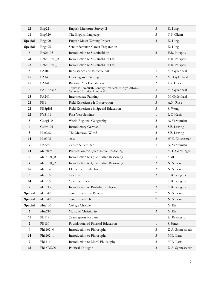| 12                      | Eng221          | English Literature Survey II                                                            | 3              | K. King          |
|-------------------------|-----------------|-----------------------------------------------------------------------------------------|----------------|------------------|
| 11                      | Eng320          | The English Language                                                                    | 3              | T.P. Glenn       |
| Special                 | Eng490          | English Major Writing Project                                                           | 3              | K. King          |
| Special                 | Eng495          | Senior Seminar: Career Preparation                                                      | $\mathbf{1}$   | K. King          |
| 6                       | EnSci105        | Introduction to Sustainability                                                          | $\mathfrak{Z}$ | E.R. Potapov     |
| 21                      | EnSci105L_0     | Introduction to Sustainability Lab                                                      | $\mathbf{1}$   | E.R. Potapov     |
| 23                      | EnSci105L_1     | Introduction to Sustainability Lab                                                      | $\mathbf{1}$   | E.R. Potapov     |
| 3                       | FA102           | Renaissance and Baroque Art                                                             | 3              | M. Gyllenhaal    |
| 15                      | FA140           | Drawing and Painting                                                                    | $\mathfrak{Z}$ | M. Gyllenhaal    |
| 15                      | FA141           | <b>Building Arts Foundation</b>                                                         | $\mathfrak{Z}$ | J.K. Leap        |
| 6                       | FA213/313       | Topics in Twentieth-Century Architecture: Bryn Athyn's<br>National Historical Landmarks | 3              | M. Gyllenhaal    |
| 15                      | FA240           | <b>Intermediate Painting</b>                                                            | 3              | M. Gyllenhaal    |
| 21                      | FE <sub>1</sub> | Field Experience I: Observation                                                         | $\mathfrak{Z}$ | A.N. Rose        |
| 21                      | FESpEd          | Field Experience in Special Education                                                   | 3              | S. Wong          |
| 12                      | <b>FYS101</b>   | First Year Seminar                                                                      | $\mathbf{1}$   | L.C. Nash        |
| 5                       | Geog110         | World Regional Geography                                                                | 3              | A. Yardumian     |
| $\overline{4}$          | Germ101         | Introductory German I                                                                   | $\mathfrak{Z}$ | S.B. Lawing      |
| 3                       | Hist248         | The Medieval World                                                                      | 3              | S.B. Lawing      |
| 14                      | Hist305         | Asia                                                                                    | 3              | W.E. Closterman  |
| 7                       | HSoc401         | Capstone Seminar I                                                                      | $\mathfrak{Z}$ | A. Yardumian     |
| 14                      | Math095         | Preparation for Quantitative Reasoning                                                  | $\mathbf{1}$   | M.T. Genzlinger  |
| 2                       | $Math101_0$     | Introduction to Quantitative Reasoning                                                  | 3              | Staff            |
| $\overline{4}$          | Math101_2       | Introduction to Quantitative Reasoning                                                  | 3              | N. Simonetti     |
| 16                      | Math140         | Elements of Calculus                                                                    | 3              | N. Simonetti     |
| 3                       | Math150         | Calculus I                                                                              | $\mathfrak{Z}$ | C.B. Bongers     |
| 14                      | Math150L        | Calculus I Lab                                                                          | $\mathbf{1}$   | C.B. Bongers     |
| $\overline{2}$          | Math330         | Introduction to Probability Theory                                                      | $\mathfrak{Z}$ | C.B. Bongers     |
| Special                 | Math493         | Senior Literature Review                                                                | $\overline{2}$ | N. Simonetti     |
| Special                 | Math499         | Senior Research                                                                         | $\sqrt{2}$     | N. Simonetti     |
| Special                 | Mus100          | College Chorale                                                                         | $\mathbf{1}$   | G. Bier          |
| 5                       | Mus210          | Music of Christianity                                                                   | $\mathfrak{Z}$ | G. Bier          |
| 11                      | <b>PE112</b>    | Team Sports for Fun                                                                     | 1              | H. Bryntesson    |
| $\sqrt{2}$              | <b>PE180</b>    | Foundations of Physical Education                                                       | 1              | S. Jones         |
| $\overline{\mathbf{4}}$ | Phil102_0       | Introduction to Philosophy                                                              | $\mathfrak{Z}$ | D.A. Synnestvedt |
| 14                      | Phil102_1       | Introduction to Philosophy                                                              | $\mathfrak{Z}$ | M.E. Latta       |
| $\overline{7}$          | Phil111         | Introduction to Moral Philosophy                                                        | $\mathfrak{Z}$ | M.E. Latta       |
| 15                      | Phil/PS220      | Political Thought                                                                       | $\mathfrak{Z}$ | D.A. Synnestvedt |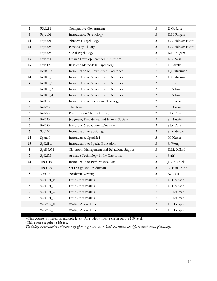| $\boldsymbol{2}$        | <b>PSci211</b> | Comparative Government                      | $\mathfrak{Z}$ | D.G. Rose          |
|-------------------------|----------------|---------------------------------------------|----------------|--------------------|
| 5                       | Psyc101        | <b>Introductory Psychology</b>              | $\mathfrak{Z}$ | K.K. Rogers        |
| 14                      | Psyc201        | Abnormal Psychology                         | $\mathfrak{Z}$ | E. Goldblatt Hyatt |
| 12                      | Psyc203        | Personality Theory                          | $\mathfrak{Z}$ | E. Goldblatt Hyatt |
| $\overline{\mathbf{4}}$ | Psyc205        | Social Psychology                           | $\mathfrak{Z}$ | K.K. Rogers        |
| 15                      | Psyc341        | Human Development: Adult Altruism           | $\mathfrak{Z}$ | L.C. Nash          |
| 16                      | Psyc490        | Research Methods in Psychology              | $\mathfrak{Z}$ | F. Cavallo         |
| 11                      | Rel101_0       | Introduction to New Church Doctrines        | $\mathfrak{Z}$ | R.J. Silverman     |
| 14                      | Rel101_1       | Introduction to New Church Doctrines        | 3              | R.J. Silverman     |
| $\overline{\mathbf{4}}$ | Rel101_2       | Introduction to New Church Doctrines        | $\mathfrak{Z}$ | C. Glenn           |
| 5                       | Rel101_3       | Introduction to New Church Doctrines        | $\mathfrak{Z}$ | G. Schnarr         |
| 6                       | Rel101_4       | Introduction to New Church Doctrines        | 3              | G. Schnarr         |
| $\boldsymbol{2}$        | <b>Rel110</b>  | Introduction to Systematic Theology         | $\mathfrak{Z}$ | S.I Frazier        |
| 5                       | <b>Rel220</b>  | The Torah                                   | $\mathfrak{Z}$ | S.I. Frazier       |
| 6                       | Rel283         | Pre-Christian Church History                | 3              | S.D. Cole          |
| $\overline{7}$          | <b>Rel320</b>  | Judgment, Providence, and Human Society     | $\mathfrak{Z}$ | S.I. Frazier       |
| 3                       | <b>Rel380</b>  | History of New Church Doctrine              | $\mathfrak{Z}$ | S.D. Cole          |
| $\overline{7}$          | Soc110         | Introduction to Sociology                   | $\mathfrak{Z}$ | S. Anderson        |
| 14                      | Span101        | Introductory Spanish I                      | 3              | M. Nunez           |
| 15                      | SpEd111        | Introduction to Special Education           | $\mathfrak{Z}$ | S. Wong            |
| $\mathbf{1}$            | SpeEd331       | Classroom Management and Behavioral Support | 3              | K.M. Ballard       |
| $\mathbf{3}$            | SpEd334        | Assistive Technology in the Classroom       | $\mathbf{1}$   | Staff              |
| 15                      | Thea110        | Introduction to Performance Arts            | $\mathfrak{Z}$ | J.L. Bostock       |
| 11                      | Thea120        | Set Design and Production                   | $\mathfrak{Z}$ | N. Haus-Roth       |
| 3                       | Writ100        | Academic Writing                            | $\mathfrak{Z}$ | A. Nash            |
| 2                       | $Writ101_0$    | <b>Expository Writing</b>                   | $\mathfrak{Z}$ | D. Harrison        |
| $\mathbf{3}$            | $Writ101_1$    | <b>Expository Writing</b>                   | $\mathfrak{Z}$ | D. Harrison        |
| $\overline{4}$          | Writ101_2      | <b>Expository Writing</b>                   | $\mathfrak{Z}$ | C. Hoffman         |
| $\mathbf{3}$            | Writ101_3      | <b>Expository Writing</b>                   | $\mathfrak{Z}$ | C. Hoffman         |
| $\boldsymbol{6}$        | Writ202_0      | Writing About Literature                    | $\mathfrak{Z}$ | R.S. Cooper        |
| $\overline{5}$          | Writ202_1      | Writing About Literature                    | $\mathfrak{Z}$ | R.S. Cooper        |

+This course is offered on multiple levels. All students must register on the 100 level.

\*This course requires a lab fee.

*The College administration will make every effort to offer the courses listed, but reserves the right to cancel courses if necessary.*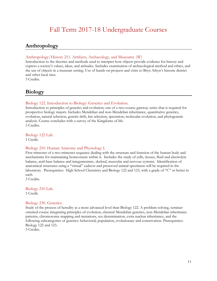# Fall Term 2017-18 Undergraduate Courses

# <span id="page-10-1"></span><span id="page-10-0"></span>**Anthropology**

#### Anthropology/History 211. Artifacts, Archaeology, and Museums. (W)

Introduction to the theories and methods used to interpret how objects provide evidence for history and express a society's values, ideas, and attitudes. Includes examination of archaeological method and ethics, and the use of objects in a museum setting. Use of hands-on projects and visits to Bryn Athyn's historic district and other local sites.

3 Credits.

### **Biology**

#### <span id="page-10-2"></span>Biology 122. Introduction to Biology: Genetics and Evolution.

Introduction to principles of genetics and evolution; one of a two-course gateway series that is required for prospective biology majors. Includes Mendelian and non-Mendelian inheritance, quantitative genetics, evolution, natural selection, genetic drift, kin selection, speciation, molecular evolution, and phylogenetic analysis. Course concludes with a survey of the Kingdoms of life. 3 Credits.

Biology 122 Lab.

1 Credit.

#### Biology 210. Human Anatomy and Physiology I.

First trimester of a two-trimester sequence dealing with the structure and function of the human body and mechanisms for maintaining homeostasis within it. Includes the study of cells, tissues, fluid and electrolyte balance, acid-base balance and integumentary, skeletal, muscular and nervous systems. Identification of anatomical structures using a "virtual" cadaver and preserved animal specimens will be required in the laboratory. Prerequisites: High School Chemistry and Biology 122 and 123, with a grade of "C" or better in each.

3 Credits.

Biology 210 Lab. 1 Credit.

#### Biology 230. Genetics.

Study of the process of heredity at a more advanced level than Biology 122. A problem-solving, seminaroriented course integrating principles of evolution, classical Mendelian genetics, non-Mendelian inheritance patterns, chromosome mapping and mutations, sex determination, extra nuclear inheritance, and the following subcategories of genetics: behavioral, population, evolutionary and conservation. Prerequisites: Biology 122 and 123.

3 Credits.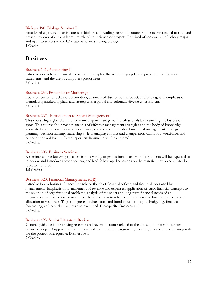#### Biology 490. Biology Seminar I.

Broadened exposure to active areas of biology and reading current literature. Students encouraged to read and present reviews of current literature related to their senior projects. Required of seniors in the biology major and open to seniors in the ID major who are studying biology. 1 Credit.

# **Business**

#### Business 141. Accounting I.

Introduction to basic financial accounting principles, the accounting cycle, the preparation of financial statements, and the use of computer spreadsheets. 3 Credits.

#### Business 254. Principles of Marketing.

Focus on customer behavior, promotion, channels of distribution, product, and pricing, with emphasis on formulating marketing plans and strategies in a global and culturally diverse environment. 3 Credits.

#### Business 267. Introduction to Sports Management.

This course highlights the need for trained sport management professionals by examining the history of sport. This course also provides analysis of effective management strategies and the body of knowledge associated with pursuing a career as a manager in the sport industry. Functional management, strategic planning, decision making, leadership style, managing conflict and change, motivation of a workforce, and career opportunities in different sport environments will be explored. 3 Credits.

#### Business 305. Business Seminar.

A seminar course featuring speakers from a variety of professional backgrounds. Students will be expected to interview and introduce these speakers, and lead follow-up discussions on the material they present. May be repeated for credit.

1.5 Credits.

#### Business 320. Financial Management. (QR)

Introduction to business finance, the role of the chief financial officer, and financial tools used by management. Emphasis on management of revenue and expenses, application of basic financial concepts to the solution of organizational problems, analysis of the short and long-term financial needs of an organization, and selection of most feasible course of action to secure best possible financial outcome and allocation of resources. Topics of present value, stock and bond valuation, capital budgeting, financial forecasting, and capital structures also examined. Prerequisite: Business 141. 3 Credits.

#### Business 493. Senior Literature Review.

General guidance in continuing research and review literature related to the chosen topic for the senior capstone project, Support for crafting a sound and interesting argument, resulting in an outline of main points for the project. Prerequisite: Business 390. 2 Credits.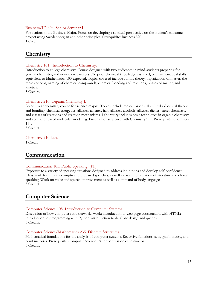#### Business/ID 494. Senior Seminar I.

For seniors in the Business Major. Focus on developing a spiritual perspective on the student's capstone project using Swedenborgian and other principles. Prerequisite: Business 390. 1 Credit.

# <span id="page-12-0"></span>**Chemistry**

#### Chemistry 101. Introduction to Chemistry.

Introduction to college chemistry. Course designed with two audiences in mind-students preparing for general chemistry, and non-science majors. No prior chemical knowledge assumed, but mathematical skills equivalent to Mathematics 100 expected. Topics covered include atomic theory, organization of matter, the mole concept, naming of chemical compounds, chemical bonding and reactions, phases of matter, and kinetics.

3 Credits.

#### Chemistry 210. Organic Chemistry I.

Second year chemistry course for science majors. Topics include molecular orbital and hybrid orbital theory and bonding, chemical energetics, alkanes, alkenes, halo alkanes, alcohols, alkynes, dienes, stereochemistry, and classes of reactions and reaction mechanisms. Laboratory includes basic techniques in organic chemistry and computer based molecular modeling. First half of sequence with Chemistry 211. Prerequisite: Chemistry 111.

3 Credits.

#### Chemistry 210 Lab.

1 Credit.

# <span id="page-12-1"></span>**Communication**

#### Communication 105. Public Speaking. (PP)

Exposure to a variety of speaking situations designed to address inhibitions and develop self-confidence. Class work features impromptu and prepared speeches, as well as oral interpretation of literature and choral speaking. Work on voice and speech improvement as well as command of body language. 3 Credits.

# <span id="page-12-2"></span>**Computer Science**

#### Computer Science 105. Introduction to Computer Systems.

Discussion of how computers and networks work; introduction to web page construction with HTML; introduction to programming with Python; introduction to database design and queries. 3 Credits.

#### Computer Science/Mathematics 235. Discrete Structures.

Mathematical foundations for the analysis of computer systems. Recursive functions, sets, graph theory, and combinatorics. Prerequisite: Computer Science 180 or permission of instructor. 3 Credits.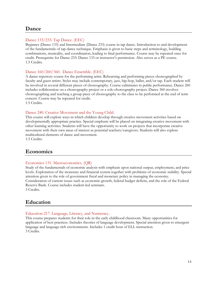# <span id="page-13-0"></span>**Dance**

#### Dance 133/233. Tap Dance. (EEC)

Beginner (Dance 133) and Intermediate (Dance 233) course in tap dance. Introduction to and development of the fundamentals of tap dance technique. Emphasis is given to basic steps and terminology, building combinations, musicality, and coordination, leading to final performance. Course may be repeated once for credit. Prerequisite for Dance 233: Dance 133 or instructor's permission. Also serves as a PE course. 1.5 Credits.

#### Dance 160/260/360. Dance Ensemble. (EEC)

A dance repertory course for the performing artist. Rehearsing and performing pieces choreographed by faculty and guest artists. Styles may include contemporary, jazz, hip-hop, ballet, and/or tap. Each student will be involved in several different pieces of choreography. Course culminates in public performance. Dance 260 includes collaboration on a choreography project or a solo choreography project. Dance 360 involves choreographing and teaching a group piece of choreography to the class to be performed at the end of term concert. Course may be repeated for credit.

1.5 Credits.

#### Dance 240. Creative Movement and the Young Child.

This course will explore ways in which children develop through creative movement activities based on developmentally appropriate practice. Special emphasis will be placed on integrating creative movement with other learning activities. Students will have the opportunity to work on projects that incorporate creative movement with their own areas of interest as potential teachers/caregivers. Students will also explore multicultural elements of dance and movement.

1.5 Credits.

# <span id="page-13-1"></span>**Economics**

#### Economics 131. Macroeconomics. (QR)

Study of the fundamentals of economic analysis with emphasis upon national output, employment, and price levels. Exploration of the monetary and financial system together with problems of economic stability. Special attention given to the role of government fiscal and monetary policy in managing the economy. Consideration of current issues such as economic growth, federal budget deficits, and the role of the Federal Reserve Bank. Course includes student-led seminars. 3 Credits.

### <span id="page-13-2"></span>**Education**

#### Education 217. Language, Literacy, and Numeracy.

This course prepares students for their role in the early childhood classroom. Many opportunities for application of best practices. Includes theories of language development. Special attention given to emergent language and language-rich environments. Includes 1 credit hour of ELL instruction. 3 Credits.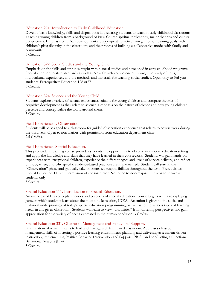#### Education 271. Introduction to Early Childhood Education.

Develop basic knowledge, skills and dispositions in preparing students to teach in early childhood classrooms. Teaching young children from a background of New Church spiritual philosophy, major theories and cultural perspectives. Emphasis on DAP (developmentally appropriate practice); integration of learning goals with children's play; diversity in the classroom; and the process of building a collaborative model with family and community.

3 Credits.

#### Education 322. Social Studies and the Young Child.

Emphasis on the skills and attitudes taught within social studies and developed in early childhood programs. Special attention to state standards as well as New Church competencies through the study of units, multicultural experiences, and the methods and materials for teaching social studies. Open only to 3rd year students. Prerequisites: Education 128 or271. 3 Credits.

#### Education 324. Science and the Young Child.

Students explore a variety of science experiences suitable for young children and compare theories of cognitive development as they relate to science. Emphasis on the nature of science and how young children perceive and conceptualize the world around them. 3 Credits.

#### Field Experience I. Observation.

Students will be assigned to a classroom for guided observation experience that relates to course work during the third year. Open to non-majors with permission from education department chair. 2.5 Credits.

#### Field Experience. Special Education.

This pre-student teaching course provides students the opportunity to observe in a special education setting and apply the knowledge and skills that they have learned in their coursework. Students will gain hands-on experiences with exceptional children, experience the different types and levels of service delivery, and reflect on how, when, and why specific evidence-based practices are implemented. Student will start in the "Observation" phase and gradually take on increased responsibilities throughout the term. Prerequisites: Special Education 111 and permission of the instructor. Not open to non-majors; third- or fourth-year students only.

3 Credits.

#### Special Education 111. Introduction to Special Education.

An overview of key concepts, theories and practices of special education. Course begins with a role-playing game in which students learn about the milestone legislation, IDEA. Attention is given to the social and historical underpinnings of today's special education programming, as well as to the various types of learning needs in any given classroom. Students will learn to view "disabilities" from differing perspectives and gain appreciation for the variety of needs expressed in the human condition. 3 Credits.

#### Special Education 331. Classroom Management and Behavioral Support.

Examination of what it means to lead and manage a differentiated classroom. Addresses classroom management skills of fostering a positive learning environment; planning and delivering assessment-driven instruction; implementing Positive Behavior Intervention and Support (PBIS); and conducting a Functional Behavioral Analysis (FBA).

3 Credits.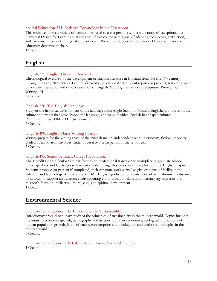#### Special Education 334. Assistive Technology in the Classroom.

This course explores a variety of technologies used to assist persons with a wide range of exceptionalities. Universal Design for Learning is at the core of this course with a goal of adapting technology, instruction, and assessment to meet a range of student needs. Prerequisites: Special Education 111 and permission of the education department chair.

1 Credit.

# <span id="page-15-0"></span>**English**

#### English 221. English Literature Survey II.

Chronological overview of the development of English literature in England from the late  $17<sup>th</sup>$  century through the early 20th century. Lecture, discussion, guest speakers, student reports or projects, research paper on a chosen period or author. Continuation of English 220; English 220 not prerequisite. Prerequisite: Writing 101.

3 Credits.

#### <span id="page-15-1"></span>English 320. The English Language.

Study of the historical development of the language from Anglo-Saxon to Modern English, with focus on the culture and events that have shaped the language, and ways in which English has shaped cultures. Prerequisite: Any 200-level English course. 3 Credits.

#### English 490. English Major Writing Project.

Writing project for the writing track of the English major. Independent work in criticism, fiction, or poetry, guided by an advisor. Involves student over a two-term period of the senior year. 3 Credits.

#### English 495. Senior Seminar: Career Preparation.

The 1-credit English Senior Seminar focuses on professional transition to workplace or graduate school. Guest speakers and faculty present recent trends in English studies and in employment for English majors. Students propose (or present if completed) their capstone work as well as give evidence of facility in the software and technology skills required of BAC English graduates. Students network with alumni at a distance or in town to support an outreach effort requiring communication skills and fostering any aspect of the mission's focus on intellectual, moral, civil, and spiritual development. 1 Credit.

# **Environmental Science**

#### Environmental Science 105. Introduction to Sustainability.

Introductory cross-disciplinary study of the principles of sustainability in the modern world. Topics include: the limits to economic growth, demography and its constraints on economics, ecological implications of human population growth, limits of energy consumption and production, and ecological principles in the modern world.

3 Credits.

#### Environmental Science 105 Lab. Introduction to Sustainability Lab.

<span id="page-15-2"></span>1 Credit.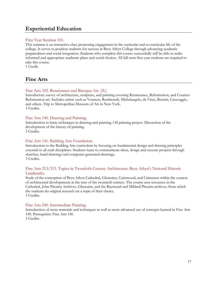# **Experiential Education**

#### First Year Seminar 101.

This seminar is an interactive class promoting engagement in the curricular and co-curricular life of the college. It serves to position students for success at Bryn Athyn College through advancing academic preparedness and social integration. Students who complete this course successfully will be able to make informed and appropriate academic plans and social choices. All fall term first year students are required to take this course.

1 Credit.

# <span id="page-16-0"></span>**Fine Arts**

#### Fine Arts 102. Renaissance and Baroque Art. (IL)

Introductory survey of architecture, sculpture, and painting covering Renaissance, Reformation, and Counter-Reformation art. Includes artists such as Vermeer, Rembrandt, Michelangelo, da Vinci, Bernini, Caravaggio, and others. Trip to Metropolitan Museum of Art in New York. 3 Credits.

#### Fine Arts 140. Drawing and Painting.

Introduction to basic techniques in drawing and painting. Oil painting project. Discussion of the development of the history of painting. 3 Credits.

#### Fine Arts 141. Building Arts Foundation.

Introduction to the Building Arts curriculum by focusing on fundamental design and drawing principles essential to all craft disciplines. Students learn to communicate ideas, design and execute projects through sketches, hand drawings and computer-generated drawings. 3 Credits.

#### Fine Arts 213/313. Topics in Twentieth-Century Architecture: Bryn Athyn's National Historic Landmarks.

Study of the conception of Bryn Athyn Cathedral, Glencairn, Cairnwood, and Cairncrest within the context of architectural developments at the turn of the twentieth century. The course uses resources in the Cathedral, John Pitcairn Archives, Glencairn, and the Raymond and Mildred Pitcairn archives, from which the students do original research on a topic of their choice. 3 Credits.

#### Fine Arts 240. Intermediate Painting.

Introduction of more materials and techniques as well as more advanced use of concepts learned in Fine Arts 140. Prerequisite: Fine Arts 140.

<span id="page-16-1"></span>3 Credits.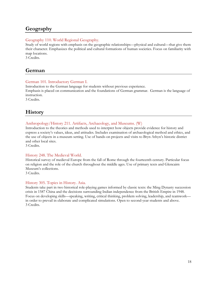# **Geography**

#### Geography 110. World Regional Geography.

Study of world regions with emphasis on the geographic relationships—physical and cultural—that give them their character. Emphasizes the political and cultural formations of human societies. Focus on familiarity with map locations.

3 Credits.

# <span id="page-17-0"></span>**German**

#### German 101. Introductory German I.

Introduction to the German language for students without previous experience.

Emphasis is placed on communication and the foundations of German grammar. German is the language of instruction.

3 Credits.

# <span id="page-17-1"></span>**History**

#### Anthropology/History 211. Artifacts, Archaeology, and Museums. (W)

Introduction to the theories and methods used to interpret how objects provide evidence for history and express a society's values, ideas, and attitudes. Includes examination of archaeological method and ethics, and the use of objects in a museum setting. Use of hands-on projects and visits to Bryn Athyn's historic district and other local sites.

3 Credits.

#### History 248. The Medieval World.

Historical survey of medieval Europe from the fall of Rome through the fourteenth century. Particular focus on religion and the role of the church throughout the middle ages. Use of primary texts and Glencairn Museum's collections.

3 Credits.

#### History 305. Topics in History. Asia.

<span id="page-17-2"></span>Students take part in two historical role-playing games informed by classic texts: the Ming Dynasty succession crisis in 1587 China and the decisions surrounding Indian independence from the British Empire in 1948. Focus on developing skills—speaking, writing, critical thinking, problem solving, leadership, and teamwork in order to prevail in elaborate and complicated simulations. Open to second-year students and above. 3 Credits.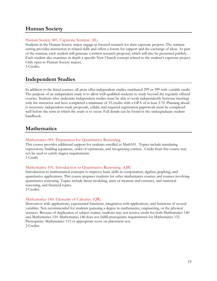# **Human Society**

#### Human Society 401. Capstone Seminar. (IL)

Students in the Human Society major engage in focused research for their capstone projects. The seminar setting provides instruction in related skills and offers a forum for support and the exchange of ideas. As part of the seminar, each student will generate a written research proposal, which will also be presented publicly. Each student also examines in depth a specific New Church concept related to the student's capstone project. Only open to Human Society majors.

3 Credits.

# <span id="page-18-0"></span>**Independent Studies**

In addition to the listed courses, all areas offer independent studies numbered 299 or 399 with variable credit. The purpose of an independent study is to allow well-qualified students to study beyond the regularly offered courses. Students who undertake independent studies must be able to work independently between meetings with the instructor and have completed a minimum of 33 credits with a GPA of at least 2.70. Planning ahead is necessary: independent study proposals, syllabi, and required registration paperwork must be completed well before the term in which the study is to occur. Full details can be found in the undergraduate student handbook.

# <span id="page-18-1"></span>**Mathematics**

#### Mathematics 095. Preparation for Quantitative Reasoning.

This course provides additional support for students enrolled in Math101. Topics include translating expressions, building equations, order of operations, and recognizing context. Credit from this course may not be used to satisfy degree requirements.

1 Credit.

#### Mathematics 101. Introduction to Quantitative Reasoning. (QR)

Introduction to mathematical concepts to improve basic skills in computation, algebra, graphing, and quantitative applications. This course prepares students for other mathematics courses and courses involving quantitative reasoning. Topics include linear modeling, units of measure and currency, and statistical reasoning, and financial topics.

3 Credits.

#### Mathematics 140. Elements of Calculus. (QR)

Derivatives with applications, exponential functions, integration with applications, and functions of several variables. Not recommended for students pursuing a degree in mathematics, engineering, or the physical sciences. Because of duplication of subject matter, students may not receive credit for both Mathematics 140 and Mathematics 150. Mathematics 140 does not fulfill prerequisite requirements for Mathematics 151. Prerequisite: Mathematics 115 or appropriate score on placement test. 3 Credits.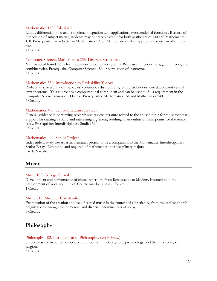#### Mathematics 150. Calculus I.

Limits, differentiation, maxima-minima, integration with applications, transcendental functions. Because of duplication of subject matter, students may not receive credit for both Mathematics 140 and Mathematics 150. Prerequisite: C– or better in Mathematics 120 or Mathematics 124 or appropriate score on placement test.

4 Credits.

#### Computer Science/Mathematics 235. Discrete Structures.

Mathematical foundations for the analysis of computer systems. Recursive functions, sets, graph theory, and combinatorics. Prerequisite: Computer Science 180 or permission of instructor. 3 Credits.

#### Mathematics 330. Introduction to Probability Theory.

Probability spaces, random variables, continuous distributions, joint distributions, correlation, and central limit theorems. This course has a computational component and can be used to fill a requirement in the Computer Science minor or ID area. Prerequisites: Mathematics 151 and Mathematics 240. 3 Credits.

#### Mathematics 493. Senior Literature Review.

General guidance in continuing research and review literature related to the chosen topic for the senior essay. Support for crafting a sound and interesting argument, resulting in an outline of main points for the senior essay. Prerequisite: Interdisciplinary Studies 390. 2 Credits.

#### Mathematics 499. Senior Project.

Independent study toward a mathematics project to be a companion to the Mathematics Interdisciplinary Senior Essay. Limited to and required of mathematics interdisciplinary majors. Credit Variable.

### <span id="page-19-0"></span>**Music**

#### Music 100. College Chorale.

Development and performance of choral repertoire from Renaissance to Modern. Instruction in the development of vocal techniques. Course may be repeated for credit. 1 Credit.

#### Music 210. Music of Christianity.

Examination of the creation and use of sacred music in the context of Christianity, from the earliest church organizations through the numerous and diverse denominations of today. 3 Credits.

### <span id="page-19-1"></span>**Philosophy**

#### Philosophy 102. Introduction to Philosophy. (Worldview)

Survey of some major philosophers and theories in metaphysics, epistemology, and the philosophy of religion.

3 Credits.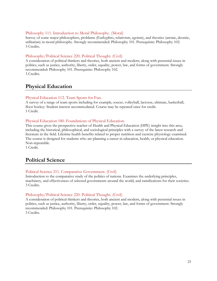#### Philosophy 111. Introduction to Moral Philosophy. (Moral)

Survey of some major philosophers, problems (Euthyphro, relativism, egoism), and theories (aretaic, deontic, utilitarian) in moral philosophy. Strongly recommended: Philosophy 101. Prerequisite: Philosophy 102. 3 Credits.

#### Philosophy/Political Science 220. Political Thought. (Civil)

A consideration of political thinkers and theories, both ancient and modern, along with perennial issues in politics, such as justice, authority, liberty, order, equality, power, law, and forms of government. Strongly recommended: Philosophy 101. Prerequisite: Philosophy 102. 3 Credits.

# <span id="page-20-0"></span>**Physical Education**

#### Physical Education 112. Team Sports for Fun.

A survey of a range of team sports including for example, soccer, volleyball, lacrosse, ultimate, basketball, floor hockey. Student interest accommodated. Course may be repeated once for credit. 1 Credit.

#### Physical Education 180. Foundations of Physical Education.

This course gives the prospective teacher of Health and Physical Education (HPE) insight into this area, including the historical, philosophical, and sociological principles with a survey of the latest research and literature in the field. Lifetime health benefits related to proper nutrition and exercise physiology examined. The course is designed for students who are planning a career in education, health, or physical education. Non-repeatable.

1 Credit.

# <span id="page-20-1"></span>**Political Science**

#### Political Science 211. Comparative Government. (Civil)

Introduction to the comparative study of the politics of nations. Examines the underlying principles, machinery, and effectiveness of selected governments around the world, and ramifications for their societies. 3 Credits.

#### Philosophy/Political Science 220. Political Thought. (Civil)

<span id="page-20-2"></span>A consideration of political thinkers and theories, both ancient and modern, along with perennial issues in politics, such as justice, authority, liberty, order, equality, power, law, and forms of government. Strongly recommended: Philosophy 101. Prerequisite: Philosophy 102. 3 Credits.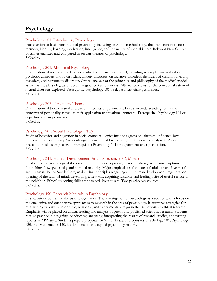# **Psychology**

#### Psychology 101. Introductory Psychology.

Introduction to basic constructs of psychology including scientific methodology, the brain, consciousness, memory, identity, learning, motivation, intelligence, and the nature of mental illness. Relevant New Church doctrines analyzed and compared to secular theories of psychology. 3 Credits.

#### Psychology 201. Abnormal Psychology.

Examination of mental disorders as classified by the medical model, including schizophrenia and other psychotic disorders, mood disorders, anxiety disorders, dissociative disorders, disorders of childhood, eating disorders, and personality disorders. Critical analysis of the principles and philosophy of the medical model, as well as the physiological underpinnings of certain disorders. Alternative views for the conceptualization of mental disorders explored. Prerequisite: Psychology 101 or department chair permission. 3 Credits.

#### Psychology 203. Personality Theory.

Examination of both classical and current theories of personality. Focus on understanding terms and concepts of personality as well as their application to situational contexts. Prerequisite: Psychology 101 or department chair permission.

3 Credits.

#### Psychology 205. Social Psychology. (PP)

Study of behavior and cognition in social contexts. Topics include aggression, altruism, influence, love, prejudice, and conformity. Swedenborgian concepts of love, charity, and obedience analyzed. Public Presentation skills emphasized. Prerequisite: Psychology 101 or department chair permission. 3 Credits.

#### Psychology 341. Human Development: Adult Altruism. (EE, Moral)

Exploration of psychological theories about moral development, character strengths, altruism, optimism, flourishing, flow, generosity and spiritual maturity. Major emphasis on the states of adults over 18 years of age. Examination of Swedenborgian doctrinal principles regarding adult human development: regeneration, opening of the rational mind, developing a new will, acquiring wisdom, and leading a life of useful service to the neighbor. Ethical reasoning skills emphasized. Prerequisite: Two psychology courses. 3 Credits.

#### Psychology 490. Research Methods in Psychology.

First capstone course for the psychology major. The investigation of psychology as a science with a focus on the qualitative and quantitative approaches to research in the area of psychology. It examines strategies for establishing validity in descriptive, relational, and experimental design in the framework of ethical research. Emphasis will be placed on critical reading and analysis of previously published scientific research. Students receive practice in designing, conducting, analyzing, interpreting the results of research studies, and writing reports in APA style. Students prepare proposal for Senior Essay. Prerequisites: Psychology 101, Psychology 320, and Mathematics 130. Students must be accepted psychology majors. 3 Credits.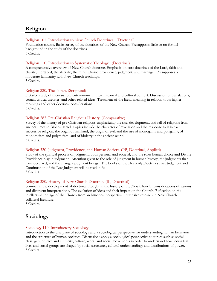# <span id="page-22-0"></span>**Religion**

#### Religion 101. Introduction to New Church Doctrines. (Doctrinal)

Foundation course. Basic survey of the doctrines of the New Church. Presupposes little or no formal background in the study of the doctrines. 3 Credits.

#### Religion 110. Introduction to Systematic Theology. (Doctrinal)

A comprehensive overview of New Church doctrine. Emphasis on core doctrines of the Lord, faith and charity, the Word, the afterlife, the mind, Divine providence, judgment, and marriage. Presupposes a moderate familiarity with New Church teachings. 3 Credits.

#### Religion 220. The Torah. (Scriptural)

Detailed study of Genesis to Deuteronomy in their historical and cultural context. Discussion of translations, certain critical theories, and other related ideas. Treatment of the literal meaning in relation to its higher meanings and other doctrinal considerations. 3 Credits.

#### Religion 283. Pre-Christian Religious History. (Comparative)

Survey of the history of pre-Christian religions emphasizing the rise, development, and fall of religions from ancient times to Biblical Israel. Topics include the character of revelation and the response to it in each successive religion, the origin of mankind, the origin of evil, and the rise of monogamy and polygamy, of monotheism and polytheism, and of idolatry in the ancient world. 3 Credits.

#### Religion 320. Judgment, Providence, and Human Society. (PP, Doctrinal, Applied)

Study of the spiritual process of judgment, both personal and societal, and the roles human choice and Divine Providence play in judgment. Attention given to the role of judgment in human history, the judgments that have occurred, and the changes judgment brings. The books of the Heavenly Doctrines Last Judgment and Continuation of the Last Judgment will be read in full. 3 Credits.

#### Religion 380. History of New Church Doctrine. (IL, Doctrinal)

Seminar in the development of doctrinal thought in the history of the New Church. Considerations of various and divergent interpretations. The evolution of ideas and their impact on the Church. Reflection on the intellectual heritage of the Church from an historical perspective. Extensive research in New Church collateral literature.

3 Credits.

# **Sociology**

#### Sociology 110. Introductory Sociology.

Introduction to the discipline of sociology and a sociological perspective for understanding human behaviors and the structure of human societies. Discussions apply a sociological perspective to topics such as social class, gender, race and ethnicity, culture, work, and social movements in order to understand how individual lives and social groups are shaped by social structures, cultural understandings and distributions of power. 3 Credits.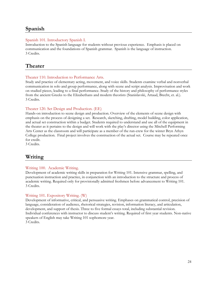# <span id="page-23-0"></span>**Spanish**

#### Spanish 101. Introductory Spanish I.

Introduction to the Spanish language for students without previous experience. Emphasis is placed on communication and the foundations of Spanish grammar. Spanish is the language of instruction. 3 Credits.

# <span id="page-23-1"></span>**Theater**

#### Theater 110. Introduction to Performance Arts.

Study and practice of elementary acting, movement, and voice skills. Students examine verbal and nonverbal communication in solo and group performance, along with scene and script analysis. Improvisation and work on studied pieces, leading to a final performance. Study of the history and philosophy of performance styles from the ancient Greeks to the Elizabethans and modern theorists (Stanislavski, Artaud, Brecht, et. al.). 3 Credits.

#### Theater 120. Set Design and Production. (EE)

Hands-on introduction to scene design and production. Overview of the elements of scene design with emphasis on the process of designing a set. Research, sketching, drafting, model building, color application, and actual set construction within a budget. Students required to understand and use all of the equipment in the theater as it pertains to the design and will work with the play's director using the Mitchell Performing Arts Center as the classroom and will participate as a member of the run-crew for the winter Bryn Athyn College production. Final project involves the construction of the actual set. Course may be repeated once for credit.

3 Credits.

# <span id="page-23-2"></span>**Writing**

#### Writing 100. Academic Writing.

Development of academic writing skills in preparation for Writing 101. Intensive grammar, spelling, and punctuation instruction and practice, in conjunction with an introduction to the structure and process of academic writing. Required only for provisionally admitted freshmen before advancement to Writing 101. 3 Credits.

#### Writing 101. Expository Writing. (W)

Development of informative, critical, and persuasive writing. Emphases on grammatical control, precision of language, consideration of audience, rhetorical strategies, revision, information literacy, and articulation, development, and support of thesis. Three to five formal essays total, including substantial revision. Individual conferences with instructor to discuss student's writing. Required of first year students. Non-native speakers of English may take Writing 101 sophomore year. 3 Credits.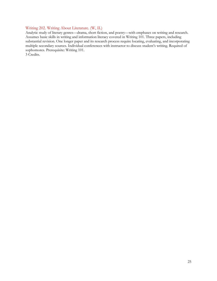#### Writing 202. Writing About Literature. (W, IL)

Analytic study of literary genres—drama, short fiction, and poetry—with emphases on writing and research. Assumes basic skills in writing and information literacy covered in Writing 101. Three papers, including substantial revision. One longer paper and its research process require locating, evaluating, and incorporating multiple secondary sources. Individual conferences with instructor to discuss student's writing. Required of sophomores. Prerequisite: Writing 101.

3 Credits.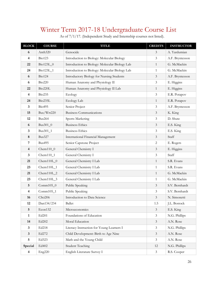# <span id="page-25-0"></span>Winter Term 2017-18 Undergraduate Course List

| <b>BLOCK</b>            | <b>COURSE</b>       | <b>TITLE</b>                                   | <b>CREDITS</b> | <b>INSTRUCTOR</b> |
|-------------------------|---------------------|------------------------------------------------|----------------|-------------------|
| 6                       | Anth <sub>320</sub> | Genocide                                       | 3              | A. Yardumian      |
| 4                       | <b>Bio123</b>       | Introduction to Biology: Molecular Biology     | 3              | A.F. Bryntesson   |
| 22                      | Bio123L_0           | Introduction to Biology: Molecular Biology Lab | $\mathbf{1}$   | G. McMackin       |
| 24                      | Bio123L_1           | Introduction to Biology: Molecular Biology Lab | $\mathbf{1}$   | G. McMackin       |
| 6                       | <b>Bio124</b>       | Introductory Biology for Nursing Students      | 3              | A.F. Bryntesson   |
| $\boldsymbol{6}$        | <b>Bio220</b>       | Human Anatomy and Physiology II                | 3              | E. Higgins        |
| 22                      | Bio220L             | Human Anatomy and Physiology II Lab            | $\mathbf{1}$   | E. Higgins        |
| $\overline{\mathbf{4}}$ | <b>Bio235</b>       | Ecology                                        | 3              | E.R. Potapov      |
| 24                      | Bio235L             | Ecology Lab                                    | $\mathbf{1}$   | E.R. Potapov      |
| 3                       | <b>Bio495</b>       | Senior Project                                 | $\mathfrak{Z}$ | A.F. Bryntesson   |
| 15                      | Bus/Wrt220          | <b>Business Communications</b>                 | $\mathfrak{Z}$ | K. King           |
| 12                      | Bus264              | Sports Marketing                               | 3              | D. Shute          |
| 6                       | Bus301_0            | <b>Business Ethics</b>                         | 3              | E.S. King         |
| 3                       | Bus301_1            | <b>Business Ethics</b>                         | 3              | E.S. King         |
| 8                       | <b>Bus327</b>       | International Financial Management             | $\mathfrak{Z}$ | Staff             |
| 7                       | <b>Bus495</b>       | Senior Capstone Project                        | $\overline{2}$ | E. Rogers         |
| 4                       | $Chem110_0$         | General Chemistry I                            | $\mathfrak{Z}$ | E. Higgins        |
| 3                       | Chem110_1           | General Chemistry I                            | 3              | Staff             |
| 21                      | $Chem10L_0$         | General Chemistry I Lab                        | $\mathbf{1}$   | S.R. Evans        |
| 23                      | Chem110L_1          | General Chemistry I Lab                        | $\mathbf{1}$   | S.R. Evans        |
| 21                      | Chem110L_2          | General Chemistry I Lab                        | $\mathbf{1}$   | G. McMackin       |
| 23                      | Chem110L_3          | General Chemistry I Lab                        | $\mathbf{1}$   | G. McMackin       |
| 5                       | $Comm105_0$         | Public Speaking                                | 3              | S.V. Bernhardt    |
| 4                       | $Comm105_1$         | Public Speaking                                | 3              | S.V. Bernhardt    |
| 16                      | CSci206             | Introduction to Data Science                   | 3              | N. Simonetti      |
| 12                      | Dan134/234          | <b>Ballet</b>                                  | 1.5            | J.L. Bostock      |
| 5                       | Econ132             | Microeconomics                                 | $\mathfrak{Z}$ | E.S. King         |
| $\mathbf{1}$            | Ed201               | Foundations of Education                       | $\mathfrak{Z}$ | N.G. Phillips     |
| 14                      | Ed202               | Moral Education                                | $\mathfrak{Z}$ | A.N. Rose         |
| 3                       | Ed218               | Literacy Instruction for Young Learners I      | 3              | N.G. Phillips     |
| $\mathbf{3}$            | Ed272               | Child Development: Birth to Age Nine           | $\mathfrak{Z}$ | A.N. Rose         |
| 5                       | Ed323               | Math and the Young Child                       | 3              | A.N. Rose         |
| Special                 | Ed402               | <b>Student Teaching</b>                        | 12             | N.G. Phillips     |
| $\overline{\mathbf{4}}$ | Eng220              | English Literature Survey I                    | $\mathfrak{Z}$ | R.S. Cooper       |

As of 7/1/17. (Independent Study and Internship courses not listed).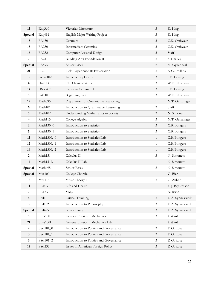| 11               | Eng360          | Victorian Literature                    | $\mathfrak{Z}$              | K. King          |
|------------------|-----------------|-----------------------------------------|-----------------------------|------------------|
| Special          | Eng491          | English Major Writing Project           | $\mathfrak{Z}$              | K. King          |
| 15               | FA130           | Ceramics                                | $\mathfrak{Z}$              | C.K. Orthwein    |
| 15               | FA230           | <b>Intermediate Ceramics</b>            | $\mathfrak{Z}$              | C.K. Orthwein    |
| 16               | FA232           | Computer Assisted Design                | $\mathfrak{Z}$              | Staff            |
| 7                | FA241           | Building Arts Foundation II             | $\mathfrak{Z}$              | S. Hartley       |
| Special          | FA495           | Senior Essay                            | $\overline{2}$              | M. Gyllenhaal    |
| 21               | FE <sub>2</sub> | Field Experience II: Exploration        | 3                           | N.G. Phillips    |
| 3                | Germ102         | Introductory German II                  | $\mathfrak{Z}$              | S.B. Lawing      |
| 4                | Hist114         | The Classical World                     | $\mathfrak{Z}$              | W.E. Closterman  |
| 14               | HSoc402         | Capstone Seminar II                     | $\mathfrak{Z}$              | S.B. Lawing      |
| 5                | Lat110          | Beginning Latin I                       | $\mathfrak{Z}$              | W.E. Closterman  |
| 12               | Math095         | Preparation for Quantitative Reasoning  | $\mathbf{1}$                | M.T. Genzlinger  |
| 6                | Math101         | Introduction to Quantitative Reasoning  | $\mathfrak{Z}$              | Staff            |
| 5                | Math102         | Understanding Mathematics in Society    | $\mathfrak{Z}$              | N. Simonetti     |
| 4                | Math115         | College Algebra                         | $\mathfrak{Z}$              | M.T. Genzlinger  |
| 2                | Math130_0       | Introduction to Statistics              | $\mathfrak{Z}$              | C.B. Bongers     |
| 5                | Math130_1       | Introduction to Statistics              | $\mathfrak{Z}$              | C.B. Bongers     |
| 11               | Math130L_0      | Introduction to Statistics Lab          | $\mathbf{1}$                | C.B. Bongers     |
| 12               | Math130L_1      | Introduction to Statistics Lab          | $\mathbf{1}$                | C.B. Bongers     |
| 14               | Math130L_2      | Introduction to Statistics Lab          | $\mathbf{1}$                | C.B. Bongers     |
| 2                | Math151         | Calculus II                             | $\mathfrak{Z}$              | N. Simonetti     |
| 14               | Math151L        | Calculus II Lab                         | $\mathbf{1}$                | N. Simonetti     |
| Special          | Math495         | Senior Essay                            | $\overline{2}$              | N. Simonetti     |
| Special          | Mus100          | College Chorale                         | $\mathbf{1}$                | G. Bier          |
| 12               | Mus113          | Music Theory I                          | $\mathfrak{Z}$              | G. Zuber         |
| 11               | <b>PE103</b>    | Life and Health                         | 1                           | H.J. Bryntesson  |
| 7                | <b>PE133</b>    | Yoga                                    | $\mathbf{1}$                | A. Irwin         |
| 4                | Phil101         | Critical Thinking                       | $\mathfrak{Z}$              | D.A. Synnestvedt |
| $\mathbf{3}$     | Phil102         | Introduction to Philosophy              | $\mathfrak{Z}$              | D.A. Synnestvedt |
| Special          | Phil495         | Senior Essay                            | $\mathfrak{Z}$              | D.A. Synnestvedt |
| 5                | Phys180         | General Physics I: Mechanics            | $\mathfrak{Z}$              | J. Ward          |
| 21               | Phys180L        | General Physics I: Mechanics Lab        | $\mathbf{1}$                | J. Ward          |
| $\boldsymbol{2}$ | PSci101_0       | Introduction to Politics and Governance | $\mathfrak{Z}$              | D.G. Rose        |
| $\mathbf{3}$     | $PSci101_1$     | Introduction to Politics and Governance | $\ensuremath{\mathfrak{Z}}$ | D.G. Rose        |
| 6                | PSci101_2       | Introduction to Politics and Governance | $\mathfrak{Z}$              | D.G. Rose        |
| $12\,$           | PSci232         | Issues in American Foreign Policy       | $\mathfrak{Z}$              | D.G. Rose        |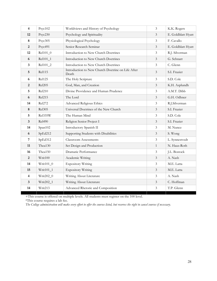| $\overline{\mathbf{4}}$ | Psyc102       | Worldviews and History of Psychology                       | $\overline{3}$ | K.K. Rogers        |
|-------------------------|---------------|------------------------------------------------------------|----------------|--------------------|
| 12                      | Psyc230       | Psychology and Spirituality                                | $\mathfrak{Z}$ | E. Goldblatt Hyatt |
| 8                       | Psyc305       | Physiological Psychology                                   | $\mathfrak{Z}$ | F. Cavallo         |
| $\boldsymbol{2}$        | Psyc491       | Senior Research Seminar                                    | 3              | E. Goldblatt Hyatt |
| 12                      | Rel101_0      | Introduction to New Church Doctrines                       | 3              | R.J. Silverman     |
| 6                       | Rel101_1      | Introduction to New Church Doctrines                       | 3              | G. Schnarr         |
| 3                       | Rel101_2      | Introduction to New Church Doctrines                       | $\mathfrak{Z}$ | C. Glenn           |
| 5                       | <b>Rel115</b> | Introduction to New Church Doctrine on Life After<br>Death | $\mathfrak{Z}$ | S.I. Frazier       |
| 6                       | <b>Rel125</b> | The Holy Scripture                                         | $\mathfrak{Z}$ | S.D. Cole          |
| $\overline{2}$          | <b>Rel205</b> | God, Man, and Creation                                     | $\mathfrak{Z}$ | K.H. Asplundh      |
| 5                       | Rel210        | Divine Providence and Human Prudence                       | $\mathfrak{Z}$ | A.M.T. Dibb        |
| 6                       | Rel215        | The Lord                                                   | 3              | G.H. Odhner        |
| 14                      | Rel272        | Advanced Religious Ethics                                  | $\mathfrak{Z}$ | R.J.Silverman      |
| 8                       | Rel305        | Universal Doctrines of the New Church                      | $\mathfrak{Z}$ | S.I. Frazier       |
| 5                       | Rel335W       | The Human Mind                                             | 3              | S.D. Cole          |
| 3                       | <b>Rel490</b> | Religion Senior Project I                                  | $\mathfrak{Z}$ | S.I. Frazier       |
| 14                      | Span102       | Introductory Spanish II                                    | $\mathfrak{Z}$ | M. Nunez           |
| 6                       | SpEd212       | Supporting Students with Disabilities                      | $\mathfrak{Z}$ | S. Wong            |
| 7                       | SpEd312       | <b>Classroom Assessments</b>                               | $\mathfrak{Z}$ | L. Synnestvedt     |
| 11                      | Thea130       | Set Design and Production                                  | $\mathbf{1}$   | N. Haus-Roth       |
| 16                      | Thea150       | Dramatic Performance                                       | $\overline{3}$ | J.L. Bostock       |
| 2                       | Writ100       | Academic Writing                                           | $\mathfrak{Z}$ | A. Nash            |
| 14                      | $Writ101_0$   | <b>Expository Writing</b>                                  | $\mathfrak{Z}$ | M.E. Latta         |
| 15                      | Writ101_1     | <b>Expository Writing</b>                                  | $\mathfrak{Z}$ | M.E. Latta         |
| 4                       | Writ202_0     | Writing About Literature                                   | 3              | A. Nash            |
| 3                       | Writ202_1     | Writing About Literature                                   | $\mathfrak{Z}$ | C. Hoffman         |
| 14                      | Writ213       | Advanced Rhetoric and Composition                          | $\mathfrak{Z}$ | T.P. Glenn         |

+This course is offered on multiple levels. All students must register on the 100 level.

\*This course requires a lab fee.

*The College administration will make every effort to offer the courses listed, but reserves the right to cancel courses if necessary.*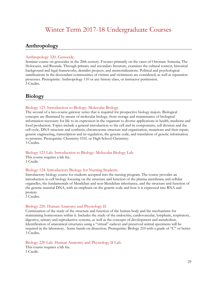# Winter Term 2017-18 Undergraduate Courses

# <span id="page-28-1"></span><span id="page-28-0"></span>**Anthropology**

#### Anthropology 320. Genocide.

Seminar course on genocides in the 20th century. Focuses primarily on the cases of Ottoman Armenia, The Holocaust, and Rwanda. Through primary and secondary literature, examines the cultural context, historical background and legal frameworks, denialist projects, and memorializations. Political and psychological ramifications in the descendant communities of victims and victimizers are considered, as well as reparation processes. Prerequisite: Anthropology 110 or any history class, or instructor permission. 3 Credits.

# <span id="page-28-2"></span>**Biology**

#### Biology 123. Introduction to Biology: Molecular Biology.

The second of a two-course gateway series that is required for prospective biology majors. Biological concepts are illustrated by means of molecular biology, from storage and maintenance of biological information necessary for life to its expression in the organism to diverse applications in health, medicine and food production. Topics include a general introduction to the cell and its components, cell division and the cell cycle, DNA structure and synthesis, chromosome structure and organization, mutations and their repair, genetic engineering, transcription and its regulation, the genetic code, and translation of genetic information to proteins. Prerequisite: Chemistry 101L or High School Chemistry. 3 Credits.

#### Biology 123 Lab. Introduction to Biology: Molecular Biology Lab.

This course requires a lab fee. 1 Credit.

#### Biology 124. Introductory Biology for Nursing Students.

Introductory biology course for students accepted into the nursing program. The course provides an introduction to cell biology focusing on the structure and function of the plasma membrane and cellular organelles, the fundamentals of Mendelian and non-Mendelian inheritance, and the structure and function of the genetic material DNA, with an emphasis on the genetic code and how it is expressed into RNA and protein.

3 Credits.

#### Biology 220. Human Anatomy and Physiology II.

Continuation of the study of the structure and function of the human body and the mechanisms for maintaining homeostasis within it. Includes the study of the endocrine, cardiovascular, lymphatic, respiratory, digestive, urinary and reproductive systems, as well as the concepts of development and metabolism. Identification of anatomical structures using a "virtual" cadaver and preserved animal specimens will be required in the laboratory. Some hands-on dissection. Prerequisite: Biology 210 with a grade of "C" or better. 3 Credits.

Biology 220 Lab. Human Anatomy and Physiology II Lab.

This course requires a lab fee. 1 Credit.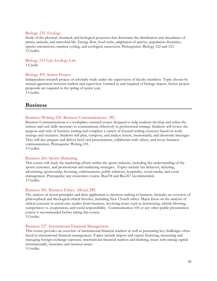#### Biology 235. Ecology.

Study of the physical, chemical, and biological processes that determine the distribution and abundance of plants, animals, and microbial life. Energy flow, food webs, adaptation of species, population dynamics, species interactions, nutrient cycling, and ecological succession. Prerequisites: Biology 122 and 123. 3 Credits.

Biology 235 Lab. Ecology Lab. 1 Credit.

#### Biology 495. Senior Project.

Independent research project or scholarly study under the supervision of faculty members. Topic chosen by mutual agreement between student and supervisor. Limited to and required of biology majors. Senior project proposals are required in the spring of junior year. 3 Credits.

# <span id="page-29-0"></span>**Business**

#### Business/Writing 220. Business Communications. (W)

Business Communications is a workplace-oriented course designed to help students develop and refine the written and oral skills necessary to communicate effectively in professional settings. Students will review the purpose and style of business writing and complete a variety of focused writing exercises based on work settings and scenarios. Students will plan, compose, and analyze letters, memoranda, and electronic messages. They will also prepare and deliver brief oral presentations, collaborate with others, and revise business communication. Prerequisite: Writing 101.

3 Credits.

#### Business 264. Sports Marketing.

This course will study the marketing efforts within the sports industry, including the understanding of the sports customer, and promotional and marketing strategies. Topics include fan behavior, ticketing, advertising, sponsorship, licensing, endorsements, public relations, hospitality, social media, and event management. Prerequisite: any economics course. Bus254 and Bus267 recommended. 3 Credits.

#### Business 301. Business Ethics. (Moral, PP)

The analysis of moral principles and their application to decision making in business. Includes an overview of philosophical and theological ethical theories, including New Church ethics. Major focus on the analysis of ethical concerns in actual case studies from business, involving issues such as downsizing, whistle-blowing, competition vs. cooperation, and social responsibility. Communication 105 or any other public presentation course is recommended before taking this course. 3 Credits.

#### Business 327. International Financial Management.

This course provides an overview of international financial markets as well as presenting key challenges often faced in international financial management. Topics include import and export financing, measuring and managing foreign exchange exposure, international financial markets and banking, issues with raising capital internationally, insurance and taxation issues.

3 Credits.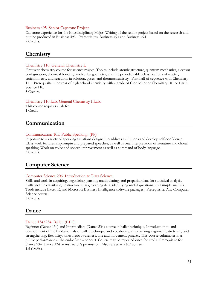#### Business 495. Senior Capstone Project.

Capstone experience for the Interdisciplinary Major. Writing of the senior project based on the research and outline produced in Business 493. Prerequisites: Business 493 and Business 494. 2 Credits.

### <span id="page-30-0"></span>**Chemistry**

#### Chemistry 110. General Chemistry I.

First year chemistry course for science majors. Topics include atomic structure, quantum mechanics, electron configuration, chemical bonding, molecular geometry, and the periodic table, classifications of matter, stoichiometry, and reactions in solution, gases, and thermochemistry. First half of sequence with Chemistry 111. Prerequisite: One year of high school chemistry with a grade of C or better or Chemistry 101 or Earth Science 110. 3 Credits.

#### Chemistry 110 Lab. General Chemistry I Lab.

This course requires a lab fee. 1 Credit.

# <span id="page-30-1"></span>**Communication**

#### Communication 105. Public Speaking. (PP)

<span id="page-30-2"></span>Exposure to a variety of speaking situations designed to address inhibitions and develop self-confidence. Class work features impromptu and prepared speeches, as well as oral interpretation of literature and choral speaking. Work on voice and speech improvement as well as command of body language. 3 Credits.

# **Computer Science**

#### Computer Science 206. Introduction to Data Science.

Skills and tools in acquiring, organizing, parsing, manipulating, and preparing data for statistical analysis. Skills include classifying unstructured data, cleaning data, identifying useful questions, and simple analysis. Tools include Excel, *R*, and Microsoft Business Intelligence software packages. Prerequisite: Any Computer Science course.

3 Credits.

### <span id="page-30-3"></span>**Dance**

#### Dance 134/234. Ballet. (EEC)

Beginner (Dance 134) and Intermediate (Dance 234) course in ballet technique. Introduction to and development of the fundamentals of ballet technique and vocabulary, emphasizing alignment, stretching and strengthening, flexibility, kinesthetic awareness, line and movement phrases. This course culminates in a public performance at the end-of-term concert. Course may be repeated once for credit. Prerequisite for Dance 234: Dance 134 or instructor's permission. Also serves as a PE course. 1.5 Credits.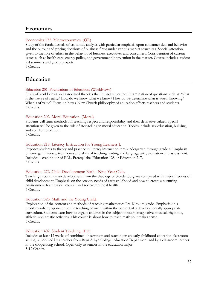# <span id="page-31-0"></span>**Economics**

#### Economics 132. Microeconomics. (QR)

Study of the fundamentals of economic analysis with particular emphasis upon consumer demand behavior and the output and pricing decisions of business firms under various market structures. Special attention given to the role of ethics in the behavior of business executives and consumers. Consideration of current issues such as health care, energy policy, and government intervention in the market. Course includes studentled seminars and group projects.

3 Credits.

# <span id="page-31-1"></span>**Education**

#### Education 201. Foundations of Education. (Worldviews)

Study of world views and associated theories that impact education. Examination of questions such as: What is the nature of reality? How do we know what we know? How do we determine what is worth knowing? What is of value? Focus on how a New Church philosophy of education affects teachers and students. 3 Credits.

#### Education 202. Moral Education. (Moral)

Students will learn methods for teaching respect and responsibility and their derivative values. Special attention will be given to the role of storytelling in moral education. Topics include sex education, bullying, and conflict resolution.

3 Credits.

#### Education 218. Literacy Instruction for Young Learners I.

Exposes students to theory and practice in literacy instruction, pre-kindergarten through grade 4. Emphasis on emergent literacy, techniques and skills of teaching reading and language arts, evaluation and assessment. Includes 1 credit hour of ELL. Prerequisite: Education 128 or Education 217. 3 Credits.

#### Education 272. Child Development: Birth - Nine Year Olds.

Teachings about human development from the theology of Swedenborg are compared with major theories of child development. Emphasis on the sensory needs of early childhood and how to create a nurturing environment for physical, mental, and socio-emotional health. 3 Credits.

#### Education 323. Math and the Young Child.

Exploration of the content and methods of teaching mathematics Pre-K to 4th grade. Emphasis on a problem-solving approach to the teaching of math within the context of a developmentally appropriate curriculum. Students learn how to engage children in the subject through imaginative, musical, rhythmic, athletic, and artistic activities. This course is about how to teach math so it makes sense. 3 Credits.

#### Education 402. Student Teaching. (EE)

Includes at least 12 weeks of combined observation and teaching in an early childhood education classroom setting, supervised by a teacher from Bryn Athyn College Education Department and by a classroom teacher in the cooperating school. Open only to seniors in the education major. 3-12 Credits.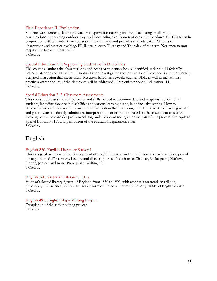#### Field Experience II. Exploration.

Students work under a classroom teacher's supervision tutoring children, facilitating small group conversations, supervising outdoor play, and monitoring classroom routines and procedures. FE II is taken in conjunction with all winter term courses of the third year and provides students with 120 hours of observation and practice teaching. FE II occurs every Tuesday and Thursday of the term. Not open to nonmajors; third-year students only. 3 Credits.

Special Education 212. Supporting Students with Disabilities.

This course examines the characteristics and needs of students who are identified under the 13 federally defined categories of disabilities. Emphasis is on investigating the complexity of these needs and the specially designed instruction that meets them. Research-based frameworks such as UDL, as well as inclusionary practices within the life of the classroom will be addressed. Prerequisite: Special Education 111. 3 Credits.

#### Special Education 312. Classroom Assessments.

This course addresses the competencies and skills needed to accommodate and adapt instruction for all students, including those with disabilities and various learning needs, in an inclusive setting. How to effectively use various assessment and evaluative tools in the classroom, in order to meet the learning needs and goals. Learn to identify, administer, interpret and plan instruction based on the assessment of student learning, as well as consider problem solving, and classroom management as part of this process. Prerequisite: Special Education 111 and permission of the education department chair. 3 Credits.

# <span id="page-32-0"></span>**English**

#### English 220. English Literature Survey I.

Chronological overview of the development of English literature in England from the early medieval period through the mid-17th century. Lecture and discussion on such authors as Chaucer, Shakespeare, Marlowe, Donne, Jonson, and more. Prerequisite: Writing 101. 3 Credits.

#### English 360. Victorian Literature. (IL)

Study of selected literary figures of England from 1830 to 1900, with emphasis on trends in religion, philosophy, and science, and on the literary form of the novel. Prerequisite: Any 200-level English course. 3 Credits.

#### English 491. English Major Writing Project.

<span id="page-32-1"></span>Completion of the senior writing project. 3 Credits.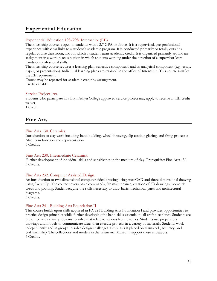# **Experiential Education**

#### Experiential Education 198/298. Internship. (EE)

The internship course is open to students with a 2.7 GPA or above. It is a supervised, pre-professional experience with clear links to a student's academic program. It is conducted primarily or totally outside a regular course classroom, and for which a student earns academic credit. It is organized primarily around an assignment in a work-place situation in which students working under the direction of a supervisor learn hands-on professional skills.

The internship course requires a learning plan, reflective component, and an analytical component (e.g., essay, paper, or presentation). Individual learning plans are retained in the office of Internship. This course satisfies the EE requirement.

Course may be repeated for academic credit by arrangement. Credit variable.

#### Service Project 1xx.

Students who participate in a Bryn Athyn College approved service project may apply to receive an EE credit waiver.

<span id="page-33-0"></span>1 Credit.

# **Fine Arts**

#### Fine Arts 130. Ceramics.

Introduction to clay work including hand building, wheel throwing, slip casting, glazing, and firing processes. Also form function and representation.

3 Credits.

#### Fine Arts 230. Intermediate Ceramics.

Further development of individual skills and sensitivities in the medium of clay. Prerequisite: Fine Arts 130. 3 Credits.

#### Fine Arts 232. Computer Assisted Design.

An introduction to two-dimensional computer aided drawing using AutoCAD and three-dimensional drawing using SketchUp. The course covers basic commands, file maintenance, creation of 2D drawings, isometric views and plotting. Student acquire the skills necessary to draw basic mechanical parts and architectural diagrams.

3 Credits.

#### Fine Arts 241. Building Arts Foundation II.

This course builds upon skills acquired in FA 221 Building Arts Foundation I and provides opportunities to practice design principles while further developing the hand skills essential to all craft disciplines. Students are presented with visual problems to solve that relate to various lecture topics. Students use preparatory drawings and models to communicate ideas then execute projects in a variety of materials. Students work independently and in groups to solve design challenges. Emphasis is placed on teamwork, accuracy, and craftsmanship. The collections and models in the Glencairn Museum support these endeavors. 3 Credits.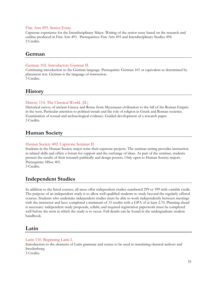#### Fine Arts 495. Senior Essay.

Capstone experience for the Interdisciplinary Major. Writing of the senior essay based on the research and outline produced in Fine Arts 493. Prerequisites: Fine Arts 493 and Interdisciplinary Studies 494. 2 Credits.

### <span id="page-34-0"></span>**German**

#### German 102. Introductory German II.

Continuing introduction to the German language. Prerequisite: German 101 or equivalent as determined by placement test. German is the language of instruction. 3 Credits.

<span id="page-34-1"></span>**History**

#### History 114. The Classical World. (IL)

Historical survey of ancient Greece and Rome from Mycenaean civilization to the fall of the Roman Empire in the west. Particular attention to political trends and the role of religion in Greek and Roman societies. Examination of textual and archaeological evidence. Guided development of a research paper. 3 Credits.

# <span id="page-34-2"></span>**Human Society**

#### Human Society 402. Capstone Seminar II.

Students in the Human Society major write their capstone projects. The seminar setting provides instruction in related skills and offers a forum for support and the exchange of ideas. As part of the seminar, students present the results of their research publically and design posters. Only open to Human Society majors. Prerequisite: HSoc 401.

<span id="page-34-3"></span>3 Credits.

# **Independent Studies**

In addition to the listed courses, all areas offer independent studies numbered 299 or 399 with variable credit. The purpose of an independent study is to allow well-qualified students to study beyond the regularly offered courses. Students who undertake independent studies must be able to work independently between meetings with the instructor and have completed a minimum of 33 credits with a GPA of at least 2.70. Planning ahead is necessary: independent study proposals, syllabi, and required registration paperwork must be completed well before the term in which the study is to occur. Full details can be found in the undergraduate student handbook.

# <span id="page-34-4"></span>**Latin**

#### Latin 110. Beginning Latin I.

Introduction to the elements of Latin grammar and syntax to be used in translating classical authors and Swedenborg. 3 Credits.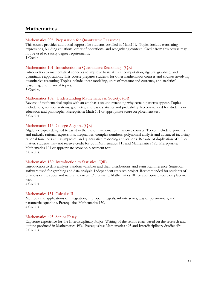# <span id="page-35-0"></span>**Mathematics**

#### Mathematics 095. Preparation for Quantitative Reasoning.

This course provides additional support for students enrolled in Math101. Topics include translating expressions, building equations, order of operations, and recognizing context. Credit from this course may not be used to satisfy degree requirements. 1 Credit.

#### Mathematics 101. Introduction to Quantitative Reasoning. (QR)

Introduction to mathematical concepts to improve basic skills in computation, algebra, graphing, and quantitative applications. This course prepares students for other mathematics courses and courses involving quantitative reasoning. Topics include linear modeling, units of measure and currency, and statistical reasoning, and financial topics.

3 Credits.

#### Mathematics 102. Understanding Mathematics in Society. (QR)

Review of mathematical topics with an emphasis on understanding why certain patterns appear. Topics include sets, number systems, geometry, and basic statistics and probability. Recommended for students in education and philosophy. Prerequisite: Math 101 or appropriate score on placement test. 3 Credits.

#### Mathematics 115. College Algebra. (QR)

Algebraic topics designed to assist in the use of mathematics in science courses. Topics include exponents and radicals, rational expressions, inequalities, complex numbers, polynomial analysis and advanced factoring, rational functions and asymptotes, and quantitative reasoning applications. Because of duplication of subject matter, students may not receive credit for both Mathematics 115 and Mathematics 120. Prerequisite: Mathematics 101 or appropriate score on placement test. 3 Credits.

#### Mathematics 130. Introduction to Statistics. (QR)

Introduction to data analysis, random variables and their distributions, and statistical inference. Statistical software used for graphing and data analysis. Independent research project. Recommended for students of business or the social and natural sciences. Prerequisite: Mathematics 101 or appropriate score on placement test.

4 Credits.

#### Mathematics 151. Calculus II.

Methods and applications of integration, improper integrals, infinite series, Taylor polynomials, and parametric equations. Prerequisite: Mathematics 150. 4 Credits.

#### Mathematics 495. Senior Essay.

<span id="page-35-1"></span>Capstone experience for the Interdisciplinary Major. Writing of the senior essay based on the research and outline produced in Mathematics 493. Prerequisites: Mathematics 493 and Interdisciplinary Studies 494. 2 Credits.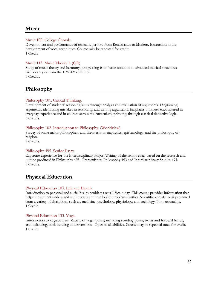# **Music**

#### Music 100. College Chorale.

Development and performance of choral repertoire from Renaissance to Modern. Instruction in the development of vocal techniques. Course may be repeated for credit. 1 Credit.

#### Music 113. Music Theory I. (QR)

Study of music theory and harmony, progressing from basic notation to advanced musical structures. Includes styles from the 18th-20th centuries. 3 Credits.

# <span id="page-36-0"></span>**Philosophy**

#### Philosophy 101. Critical Thinking.

Development of students' reasoning skills through analysis and evaluation of arguments. Diagraming arguments, identifying mistakes in reasoning, and writing arguments. Emphasis on issues encountered in everyday experience and in courses across the curriculum, primarily through classical deductive logic. 3 Credits.

#### Philosophy 102. Introduction to Philosophy. (Worldview)

Survey of some major philosophers and theories in metaphysics, epistemology, and the philosophy of religion.

3 Credits.

#### Philosophy 495. Senior Essay.

Capstone experience for the Interdisciplinary Major. Writing of the senior essay based on the research and outline produced in Philosophy 493. Prerequisites: Philosophy 493 and Interdisciplinary Studies 494. 3 Credits.

# <span id="page-36-1"></span>**Physical Education**

#### Physical Education 103. Life and Health.

Introduction to personal and social health problems we all face today. This course provides information that helps the student understand and investigate these health problems further. Scientific knowledge is presented from a variety of disciplines, such as, medicine, psychology, physiology, and sociology. Non-repeatable. 1 Credit.

#### Physical Education 133. Yoga.

<span id="page-36-2"></span>Introduction to yoga course. Variety of yoga (poses) including standing poses, twists and forward bends, arm-balancing, back bending and inversions. Open to all abilities. Course may be repeated once for credit. 1 Credit.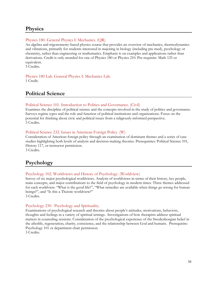# **Physics**

#### Physics 180. General Physics I: Mechanics. (QR)

An algebra and trigonometry-based physics course that provides an overview of mechanics, thermodynamics and vibrations, primarily for students interested in majoring in biology (including pre-med), psychology or chemistry, rather than engineering or mathematics. Emphasis is on examples and applications rather than derivations. Credit is only awarded for one of Physics 180 or Physics 210. Pre-requisite: Math 125 or equivalent.

3 Credits.

<span id="page-37-0"></span>Physics 180 Lab. General Physics I: Mechanics Lab. 1 Credit.

# **Political Science**

#### Political Science 101. Introduction to Politics and Governance. (Civil)

Examines the discipline of political science and the concepts involved in the study of politics and governance. Surveys regime types and the role and function of political institutions and organizations. Focus on the potential for thinking about civic and political issues from a religiously-informed perspective. 3 Credits.

#### Political Science 232. Issues in American Foreign Policy. (W)

Consideration of American foreign policy through an examination of dominant themes and a series of case studies highlighting both levels of analysis and decision-making theories. Prerequisites: Political Science 101, History 117, or instructor permission.

<span id="page-37-1"></span>3 Credits.

# **Psychology**

#### Psychology 102. Worldviews and History of Psychology. (Worldview)

Survey of six major psychological worldviews. Analysis of worldviews in terms of their history, key people, main concepts, and major contributions to the field of psychology in modern times. Three themes addressed for each worldview: "What is the good life?", "What remedies are available when things go wrong for human beings?", and "Is this a Theistic worldview?" 3 Credits.

# Psychology 230. Psychology and Spirituality.

Examinations of psychological research and theories about people's attitudes, motivations, behaviors, thoughts and feelings in a variety of spiritual settings. Investigations of how therapists address spiritual matters in counseling sessions. Consideration of the psychological experience of the Swedenborgian belief in the afterlife, regeneration, charity, conscience, and the relationship between God and humans. Prerequisite: Psychology 101 or department chair permission.

3 Credits.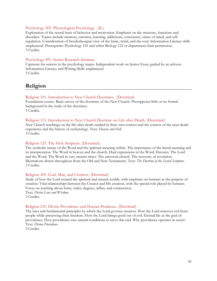#### Psychology 305. Physiological Psychology. (IL)

Exploration of the neural basis of behavior and motivation. Emphasis on the structure, functions and disorders. Topics include memory, emotion, learning, addictions, conscience, states of mind, and selfregulation. Consideration of Swedenborgian view of the brain, mind, and the soul. Information Literacy skills emphasized. Prerequisite: Psychology 101 and either Biology 122 or department chair permission. 3 Credits.

#### Psychology 491. Senior Research Seminar.

<span id="page-38-0"></span>Capstone for seniors in the psychology major. Independent work on Senior Essay guided by an advisor. Information Literacy and Writing Skills emphasized. 3 Credits.

**Religion**

#### <span id="page-38-1"></span>Religion 101. Introduction to New Church Doctrines. (Doctrinal)

Foundation course. Basic survey of the doctrines of the New Church. Presupposes little or no formal background in the study of the doctrines.

3 Credits.

#### Religion 115. Introduction to New Church Doctrine on Life after Death. (Doctrinal)

New Church teachings on the life after death studied in their own context and the context of the near-death experience and the history of eschatology. Text: *Heaven and Hell.* 3 Credits.

#### Religion 125. The Holy Scripture. (Doctrinal)

The symbolic nature of the Word and the spiritual meaning within. The importance of the literal meaning and its interpretation. The Word in heaven and the church. Dual expressions in the Word. Heresies. The Lord and the Word. The Word in very ancient times. The universal church. The necessity of revelation. Illustrations drawn throughout from the Old and New Testaments. Text: *The Doctrine of the Sacred Scripture*. 3 Credits.

#### Religion 205. God, Man, and Creation. (Doctrinal)

Study of how the Lord created the spiritual and natural worlds, with emphasis on humans as the purpose of creation. Vital relationships between the Creator and His creation, with the special role played by humans. Focus on teaching about form, order, degrees, influx, and conjunction. Text: *Divine Love and Wisdom*. 3 Credits.

#### Religion 210. Divine Providence and Human Prudence. (Doctrinal)

The laws and fundamental principles by which the Lord governs creation. How the Lord removes evil from people while preserving their freedom. How the Lord brings good out of evil. Eternal life as the goal of providence. How providence uses natural conditions to serve this end. Why providence operates in secret. Text: *Divine Providence*.

3 Credits.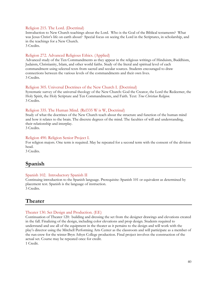#### Religion 215. The Lord. (Doctrinal)

Introduction to New Church teachings about the Lord. Who is the God of the Biblical testaments? What was Jesus Christ's life on earth about? Special focus on seeing the Lord in the Scriptures, in scholarship, and in the teachings for a New Church.

3 Credits.

#### Religion 272. Advanced Religious Ethics. (Applied)

Advanced study of the Ten Commandments as they appear in the religious writings of Hinduism, Buddhism, Judaism, Christianity, Islam, and other world faiths. Study of the literal and spiritual level of each commandment using selected texts from sacred and secular sources. Students encouraged to draw connections between the various levels of the commandments and their own lives. 3 Credits.

#### Religion 305. Universal Doctrines of the New Church I. (Doctrinal)

Systematic survey of the universal theology of the New Church: God the Creator, the Lord the Redeemer, the Holy Spirit, the Holy Scripture and Ten Commandments, and Faith. Text: *True Christian Religion*. 3 Credits.

#### Religion 335. The Human Mind. (Rel335 W is W, Doctrinal)

Study of what the doctrines of the New Church teach about the structure and function of the human mind and how it relates to the brain. The discrete degrees of the mind. The faculties of will and understanding, their relationship and interplay.

3 Credits.

#### Religion 490. Religion Senior Project I.

For religion majors. One term is required. May be repeated for a second term with the consent of the division head.

3 Credits.

# **Spanish**

#### Spanish 102. Introductory Spanish II

Continuing introduction to the Spanish language. Prerequisite: Spanish 101 or equivalent as determined by placement test. Spanish is the language of instruction. 3 Credits.

### <span id="page-39-0"></span>**Theater**

#### Theater 130. Set Design and Production. (EE)

Continuation of Theater 120: building and dressing the set from the designer drawings and elevations created in the fall. Finalizing of the design, including color elevations and prop design. Students required to understand and use all of the equipment in the theater as it pertains to the design and will work with the play's director using the Mitchell Performing Arts Center as the classroom and will participate as a member of the run-crew for the winter Bryn Athyn College production. Final project involves the construction of the actual set. Course may be repeated once for credit. 1 Credit.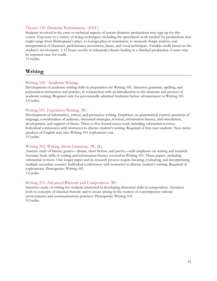#### Theater 150. Dramatic Performance. (EEC)

Students involved in the casts or technical aspects of certain dramatic productions may sign up for this course. Exposure to a variety of acting techniques, including the specialized work needed for productions that might range from Shakespeare's plays, to foreign plays in translation, to musicals. Script analysis, oral interpretation of character, performance movement, dance, and vocal techniques. Variable credit based on the student's involvement. 5-12 hours weekly in rehearsals/classes leading to a finished production. Course may be repeated once for credit.

<span id="page-40-0"></span>3 Credits.

# **Writing**

#### Writing 100. Academic Writing.

Development of academic writing skills in preparation for Writing 101. Intensive grammar, spelling, and punctuation instruction and practice, in conjunction with an introduction to the structure and process of academic writing. Required only for provisionally admitted freshmen before advancement to Writing 101. 3 Credits.

#### Writing 101. Expository Writing. (W)

Development of informative, critical, and persuasive writing. Emphases on grammatical control, precision of language, consideration of audience, rhetorical strategies, revision, information literacy, and articulation, development, and support of thesis. Three to five formal essays total, including substantial revision. Individual conferences with instructor to discuss student's writing. Required of first year students. Non-native speakers of English may take Writing 101 sophomore year. 3 Credits.

#### Writing 202. Writing About Literature. (W, IL)

Analytic study of literary genres—drama, short fiction, and poetry—with emphases on writing and research. Assumes basic skills in writing and information literacy covered in Writing 101. Three papers, including substantial revision. One longer paper and its research process require locating, evaluating, and incorporating multiple secondary sources. Individual conferences with instructor to discuss student's writing. Required of sophomores. Prerequisite: Writing 101.

3 Credits.

#### Writing 213. Advanced Rhetoric and Composition. (W)

<span id="page-40-1"></span>Intensive study of writing for students interested in developing rhetorical skills in composition. Attention both to concepts of classical rhetoric and to issues arising in the context of contemporary cultural environments and communications practices. Prerequisite: Writing 101. 3 Credits.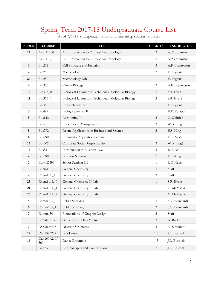# Spring Term 2017-18 Undergraduate Course List

| <b>BLOCK</b>            | <b>COURSE</b>      | <b>TITLE</b>                                        | <b>CREDITS</b> | <b>INSTRUCTOR</b> |
|-------------------------|--------------------|-----------------------------------------------------|----------------|-------------------|
| 14                      | Anth110_0          | An Introduction to Cultural Anthropology            | 3              | A. Yardumian      |
| 16                      | Anth110_1          | An Introduction to Cultural Anthropology            | $\mathfrak{Z}$ | A. Yardumian      |
| 6                       | Bio232             | Cell Structure and Function                         | $\mathfrak{Z}$ | A.F. Bryntesson   |
| $\boldsymbol{2}$        | <b>Bio250</b>      | Microbiology                                        | $\mathfrak{Z}$ | E. Higgins        |
| 24                      | Bio250L            | Microbiology Lab                                    | $\mathbf{1}$   | E. Higgins        |
| $\overline{\mathbf{4}}$ | <b>Bio355</b>      | Cancer Biology                                      | 3              | A.F. Bryntesson   |
| 12                      | Bio373_0           | Biological Laboratory Techniques: Molecular Biology | $\overline{2}$ | S.R. Evans        |
| 11                      | Bio373_1           | Biological Laboratory Techniques: Molecular Biology | $\overline{c}$ | S.R. Evans        |
| $\mathbf{3}$            | <b>Bio380</b>      | Research Seminar                                    | $\mathbf{1}$   | E. Higgins        |
| 3                       | Bio492             | <b>Biology Seminar III</b>                          | $\mathbf{1}$   | E.R. Potapov      |
| $\bf 8$                 | <b>Bus142</b>      | Accounting II                                       | $\overline{3}$ | C. Waltrich       |
| 7                       | <b>Bus257</b>      | Principles of Management                            | 3              | W.B. Jungé        |
| 5                       | <b>Bus272</b>      | Drone Applications in Business and Science          | $\mathfrak{Z}$ | E.S. King         |
| 4                       | <b>Bus290</b>      | Internship Preparation Seminar                      | $\mathbf{1}$   | L.C. Nash         |
| 15                      | <b>Bus302</b>      | Corporate Social Responsibility                     | $\overline{3}$ | W.B. Jungé        |
| 14                      | <b>Bus351</b>      | Introduction to Business Law                        | $\mathfrak{Z}$ | <b>B.</b> Buick   |
| $\overline{2}$          | <b>Bus390</b>      | <b>Business Seminar</b>                             | $\overline{2}$ | E.S. King         |
| $\boldsymbol{2}$        | Bus/ID496          | Senior Seminar III                                  | $\mathbf{1}$   | L.C. Nash         |
| $\mathbf{3}$            | $Chem111_0$        | General Chemistry II                                | $\overline{3}$ | Staff             |
| $\boldsymbol{2}$        | $Chem111_1$        | General Chemistry II                                | 3              | Staff             |
| 23                      | $Chem111L_0$       | General Chemistry II Lab                            | $\mathbf{1}$   | S.R. Evans        |
| 21                      | $Chem111L_1$       | General Chemistry II Lab                            | $\mathbf{1}$   | G. McMackin       |
| 23                      | $Chem111L_2$       | General Chemistry II Lab                            | $\mathbf{1}$   | G. McMackin       |
| 5                       | $Comm105_0$        | Public Speaking                                     | 3              | S.V. Bernhardt    |
| 6                       | $Comm105_1$        | Public Speaking                                     | $\mathfrak{Z}$ | S.V. Bernhardt    |
| $\sqrt{7}$              | Comm130            | Foundations of Graphic Design                       | $\mathfrak{Z}$ | Staff             |
| 16                      | CS/Math230         | Statistics and Data Mining                          | $\mathfrak{Z}$ | A. Burke          |
| 7                       | CS/Math235         | <b>Discrete Structures</b>                          | $\mathfrak{Z}$ | N. Simonetti      |
| 12                      | Dan132/232         | Jazz Dance                                          | 1.5            | J.L. Bostock      |
| 16                      | Dan160/260/<br>360 | Dance Ensemble                                      | 1.5            | J.L. Bostock      |
| $\mathbf{3}$            | Dan332             | Choreography and Composition                        | $\mathfrak{Z}$ | J.L. Bostock      |

As of 7/1/17. (Independent Study and Internship courses not listed).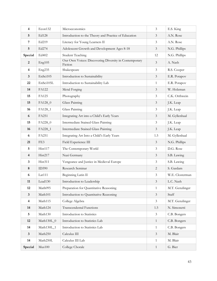| 4                       | Econ132            | Microeconomics                                                   | 3              | E.S. King       |
|-------------------------|--------------------|------------------------------------------------------------------|----------------|-----------------|
| 5                       | Ed128              | Introduction to the Theory and Practice of Education             | 3              | A.N. Rose       |
| 7                       | Ed219              | Literacy for Young Learners II                                   | $\mathfrak{Z}$ | A.N. Rose       |
| $\mathbf 5$             | Ed274              | Adolescent Growth and Development Ages 8-18                      | 3              | N.G. Phillips   |
| Special                 | Ed402              | <b>Student Teaching</b>                                          | 12             | N.G. Phillips   |
| $\boldsymbol{2}$        | Eng 105            | Our Own Voices: Discovering Diversity in Contemporary<br>Fiction | 3              | A. Nash         |
| $\overline{\mathbf{4}}$ | Eng <sub>235</sub> | Shakespeare                                                      | $\mathfrak{Z}$ | R.S. Cooper     |
| $\mathbf{3}$            | EnSci105           | Introduction to Sustainability                                   | $\mathfrak{Z}$ | E.R. Potapov    |
| 22                      | EnSci105L          | Introduction to Sustainability Lab                               | $\mathbf{1}$   | E.R. Potapov    |
| 14                      | FA122              | Metal Forging                                                    | $\mathfrak{Z}$ | W. Holzman      |
| 15                      | FA125              | Photography                                                      | $\mathfrak{Z}$ | C.K. Orthwein   |
| 15                      | FA128_0            | Glass Painting                                                   | $\mathfrak{Z}$ | J.K. Leap       |
| 16                      | FA128_1            | Glass Painting                                                   | $\mathfrak{Z}$ | J.K. Leap       |
| 6                       | FA251              | Integrating Art into a Child's Early Years                       | $\mathfrak{Z}$ | M. Gyllenhaal   |
| 15                      | FA228_0            | Intermediate Stained Glass Painting                              | $\mathfrak{Z}$ | J.K. Leap       |
| 16                      | FA228_1            | Intermediate Stained Glass Painting                              | $\mathfrak{Z}$ | J.K. Leap       |
| 6                       | FA251              | Integrating Art Into a Child's Early Years                       | 1.5            | M. Gyllenhaal   |
| 21                      | FE3                | Field Experience III                                             | $\mathfrak{Z}$ | N.G. Phillips   |
| 5                       | Hist117            | The Contemporary World                                           | $\overline{3}$ | D.G. Rose       |
| $\overline{\mathbf{4}}$ | Hist217            | Nazi Germany                                                     | $\mathfrak{Z}$ | S.B. Lawing     |
| $\mathbf{3}$            | Hist311            | Vengeance and Justice in Medieval Europe                         | 3              | S.B. Lawing     |
| $\bf 8$                 | ID390              | Research Seminar                                                 | $\sqrt{2}$     | S. Gardam       |
| 6                       | Lat111             | Beginning Latin II                                               | $\mathfrak{Z}$ | W.E. Closterman |
| 11                      | Lead130            | Introduction to Leadership                                       | 3              | L.C. Nash       |
| 12                      | Math095            | Preparation for Quantitative Reasoning                           | $\mathbf{1}$   | M.T. Genzlinger |
| $\mathbf{3}$            | Math101            | Introduction to Quantitative Reasoning                           | $\mathfrak{Z}$ | Staff           |
| $\overline{\mathbf{4}}$ | Math115            | College Algebra                                                  | $\mathfrak{Z}$ | M.T. Genzlinger |
| 14                      | Math124            | <b>Transcendental Functions</b>                                  | 1.5            | N. Simonetti    |
| 5                       | Math130            | Introduction to Statistics                                       | $\mathfrak{Z}$ | C.B. Bongers    |
| 12                      | Math130L_0         | Introduction to Statistics Lab                                   | $\mathbf{1}$   | C.B. Bongers    |
| 14                      | Math130L_1         | Introduction to Statistics Lab                                   | $\mathbf{1}$   | C.B. Bongers    |
| $\mathbf{3}$            | Math250            | Calculus III                                                     | $\mathfrak{Z}$ | M. Blair        |
| 14                      | Math250L           | Calculus III Lab                                                 | $\mathbf{1}$   | M. Blair        |
| Special                 | ${\rm Mus}100$     | College Chorale                                                  | $\mathbf{1}$   | G. Bier         |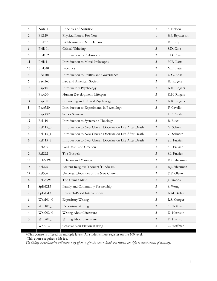| 5                       | Nutr110             | Principles of Nutrition                                 | $\mathfrak{Z}$ | S. Nelson       |
|-------------------------|---------------------|---------------------------------------------------------|----------------|-----------------|
| $\boldsymbol{2}$        | <b>PE120</b>        | Physical Fitness For You                                | $\mathbf{1}$   | H.J. Bryntesson |
| 5                       | <b>PE127</b>        | Kickboxing and Self Defense                             | $\mathbf{1}$   | R. Furry        |
| $\boldsymbol{6}$        | Phil101             | Critical Thinking                                       | $\mathfrak{Z}$ | S.D. Cole       |
| 5                       | Phil102             | Introduction to Philosophy                              | $\mathfrak{Z}$ | S.D. Cole       |
| 11                      | Phil111             | Introduction to Moral Philosophy                        | $\mathfrak{Z}$ | M.E. Latta      |
| 16                      | Phil <sub>340</sub> | Bioethics                                               | $\mathfrak{Z}$ | M.E. Latta      |
| $\mathbf{3}$            | PSci101             | Introduction to Politics and Governance                 | $\mathfrak{Z}$ | D.G. Rose       |
| 7                       | PSci260             | Law and American Society                                | 3              | E. Rogers       |
| 12                      | Psyc101             | <b>Introductory Psychology</b>                          | $\mathfrak{Z}$ | K.K. Rogers     |
| $\overline{\mathbf{4}}$ | Psyc204             | Human Development: Lifespan                             | $\mathfrak{Z}$ | K.K. Rogers     |
| 14                      | Psyc301             | Counseling and Clinical Psychology                      | $\mathfrak{Z}$ | K.K. Rogers     |
| $\bf 8$                 | Psyc320             | Introduction to Experiments in Psychology               | $\mathfrak{Z}$ | F. Cavallo      |
| $\overline{\mathbf{3}}$ | Psyc492             | Senior Seminar                                          | $\mathbf{1}$   | L.C. Nash       |
| 12                      | Rel110              | Introduction to Systematic Theology                     | $\mathfrak{Z}$ | <b>B.</b> Buick |
| $\mathbf{3}$            | Rel115_0            | Introduction to New Church Doctrine on Life After Death | $\mathfrak{Z}$ | G. Schnarr      |
| $\overline{\mathbf{4}}$ | Rel115_1            | Introduction to New Church Doctrine on Life After Death | $\mathfrak{Z}$ | G. Schnarr      |
| 6                       | Rel115_2            | Introduction to New Church Doctrine on Life After Death | $\mathfrak{Z}$ | S.I. Frazier    |
| 3                       | Rel205              | God, Man, and Creation                                  | 3              | S.I. Frazier    |
| $\overline{2}$          | <b>Rel222</b>       | The Gospels                                             | $\mathfrak{Z}$ | S.I. Frazier    |
| 12                      | Rel273W             | Religion and Marriage                                   | $\mathfrak{Z}$ | R.J. Silverman  |
| 15                      | Rel296              | Eastern Religious Thought/Hinduism                      | $\mathfrak{Z}$ | R.J. Silverman  |
| 12                      | <b>Rel306</b>       | Universal Doctrines of the New Church                   | $\mathfrak{Z}$ | T.P. Glenn      |
| 6                       | Rel335W             | The Human Mind                                          | $\mathfrak{Z}$ | J. Simons       |
| 5                       | SpEd213             | Family and Community Partnership                        | 3              | S. Wong         |
| $\overline{7}$          | SpEd313             | Research-Based Interventions                            | $\mathfrak{Z}$ | K.M. Ballard    |
| $\boldsymbol{6}$        | $Writ101_0$         | <b>Expository Writing</b>                               | $\mathfrak{Z}$ | R.S. Cooper     |
| $\overline{2}$          | $Writ101_1$         | <b>Expository Writing</b>                               | $\mathfrak{Z}$ | C. Hoffman      |
| $\overline{\mathbf{4}}$ | Writ202_0           | Writing About Literature                                | $\mathfrak{Z}$ | D. Harrison     |
| $\mathbf{3}$            | Writ202_1           | Writing About Literature                                | $\mathfrak{Z}$ | D. Harrison     |
|                         | Writ212             | Creative Non-Fiction Writing                            | $\mathfrak{Z}$ | C. Hoffman      |

+This course is offered on multiple levels. All students must register on the 100 level.

\*This course requires a lab fee.

*The College administration will make every effort to offer the courses listed, but reserves the right to cancel courses if necessary.*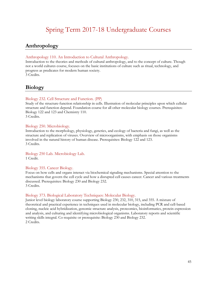# Spring Term 2017-18 Undergraduate Courses

# <span id="page-44-1"></span><span id="page-44-0"></span>**Anthropology**

#### Anthropology 110. An Introduction to Cultural Anthropology.

Introduction to the theories and methods of cultural anthropology, and to the concept of culture. Though not a world cultures course, focuses on the basic institutions of culture such as ritual, technology, and progress as predicates for modern human society. 3 Credits.

# <span id="page-44-2"></span>**Biology**

#### Biology 232. Cell Structure and Function. (PP)

Study of the structure-function relationship in cells. Illustration of molecular principles upon which cellular structure and function depend. Foundation course for all other molecular biology courses. Prerequisites: Biology 122 and 123 and Chemistry 110. 3 Credits.

#### Biology 250. Microbiology.

Introduction to the morphology, physiology, genetics, and ecology of bacteria and fungi, as well as the structure and replication of viruses. Overview of microorganisms, with emphasis on those organisms involved in the natural history of human disease. Prerequisites: Biology 122 and 123. 3 Credits.

Biology 250 Lab. Microbiology Lab. 1 Credit.

#### Biology 355. Cancer Biology.

Focus on how cells and organs interact via biochemical signaling mechanisms. Special attention to the mechanisms that govern the cell cycle and how a disrupted cell causes cancer. Cancer and various treatments discussed. Prerequisites: Biology 230 and Biology 232. 3 Credits.

#### Biology 373. Biological Laboratory Techniques: Molecular Biology.

Junior level biology laboratory course supporting Biology 230, 232, 310, 315, and 355. A mixture of theoretical and practical experience in techniques used in molecular biology, including PCR and cell-based cloning, nucleic acid hybridization, genomic structure analysis, proteomics, bioinformatics, protein expression and analysis, and culturing and identifying microbiological organisms. Laboratory reports and scientific writing skills integral. Co-requisite or prerequisite: Biology 230 and Biology 232. 2 Credits.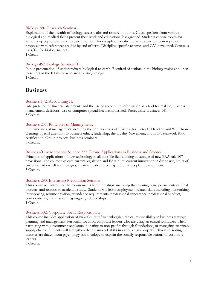#### Biology 380. Research Seminar

Exploration of the breadth of biology career paths and research options. Guest speakers from various biological and medical fields present their work and educational background. Students choose topics for senior project proposals and research methods for discipline specific literature searches. Senior project proposals with references are due by end of term. Discipline-specific resumes and C.V. developed. Course is pass/fail for biology majors.

1 Credit.

#### Biology 492. Biology Seminar III.

Public presentation of undergraduate biological research. Required of seniors in the biology major and open to seniors in the ID major who are studying biology. 1 Credit.

### <span id="page-45-0"></span>**Business**

#### Business 142. Accounting II.

Interpretation of financial statements and the use of accounting information as a tool for making business management decisions. Use of computer spreadsheets emphasized. Prerequisite: Business 141. 3 Credits.

#### Business 257. Principles of Management.

Fundamentals of management including the contributions of F.W. Taylor, Peter F. Drucker, and W. Edwards Deming. Special attention to business ethics, leadership, the Quality Movement, and ISO Teamwork 9000 certification. Group projects, business seminars. 3 Credits.

#### Business/Environmental Science 272. Drone Applications in Business and Science.

Principles of applications of new technology in all possible fields, taking advantage of new FAA rule 107 provisions. The course explores current legislation and FAA rules, current innovation in drone use, limits of current off-the-shelf technologies, creative problem solving and business plan development. 3 Credits.

#### Business 290. Internship Preparation Seminar.

This course will introduce the requirements for internships, including the learning plan, journal entries, final projects, and relation to academic study. Students will learn employment related skills including: networking, interviewing, resume creation, attendance requirements, professional appearance, professional conduct, confidentiality, and maintaining ongoing relationships. 1 Credit.

#### Business 302. Corporate Social Responsibility.

This course includes application of New Church/Swedenborgian ethical responsibility in business strategic planning and management. Particular focus on corporate leaders who are using an ethical worldview when partnering with government regulators, donating to non-profits through foundations, or managing sustainable supply chains. Students will strengthen their teamwork skills in various class projects. Ethical reasoning theories are drawn from psychology and theology to explain the socially responsible actions of corporate leaders.

3 Credits.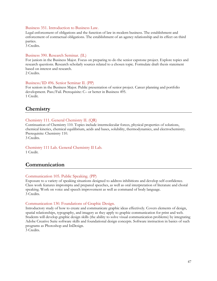#### Business 351. Introduction to Business Law.

Legal enforcement of obligations and the function of law in modern business. The establishment and enforcement of contractual obligations. The establishment of an agency relationship and its effect on third parties.

3 Credits.

#### Business 390. Research Seminar. (IL)

For juniors in the Business Major. Focus on preparing to do the senior capstone project. Explore topics and research questions. Research scholarly sources related to a chosen topic. Formulate draft thesis statement based on interest and research. 2 Credits.

#### Business/ID 496. Senior Seminar II. (PP)

For seniors in the Business Major. Public presentation of senior project. Career planning and portfolio development. Pass/Fail. Prerequisite: C– or better in Business 495. 1 Credit.

#### <span id="page-46-0"></span>**Chemistry**

#### Chemistry 111. General Chemistry II. (QR)

Continuation of Chemistry 110. Topics include intermolecular forces, physical properties of solutions, chemical kinetics, chemical equilibrium, acids and bases, solubility, thermodynamics, and electrochemistry. Prerequisite: Chemistry 110.

3 Credits.

<span id="page-46-1"></span>Chemistry 111 Lab. General Chemistry II Lab. 1 Credit.

### **Communication**

#### Communication 105. Public Speaking. (PP)

Exposure to a variety of speaking situations designed to address inhibitions and develop self-confidence. Class work features impromptu and prepared speeches, as well as oral interpretation of literature and choral speaking. Work on voice and speech improvement as well as command of body language. 3 Credits.

#### Communication 130. Foundations of Graphic Design.

Introductory study of how to create and communicate graphic ideas effectively. Covers elements of design, spatial relationships, typography, and imagery as they apply to graphic communication for print and web. Students will develop graphic design skills (the ability to solve visual communication problems) by integrating Adobe Creative Suite software skills and foundational design concepts. Software instruction in basics of such programs as Photoshop and InDesign.

<span id="page-46-2"></span>3 Credits.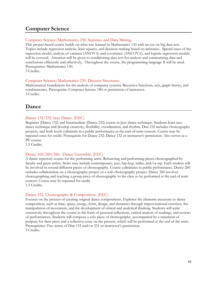# **Computer Science**

#### Computer Science/Mathematics 230. Statistics and Data Mining.

This project-based course builds on what was learned in Mathematics 130 with an eye on big data sets. Topics include regression analysis, least squares, and decision-making based on inference. Special cases of the regression model, analysis of variance (ANOVA) and covariance (ANCOVA), and logistic regression models will be covered. Attention will be given to conditioning data sets for analysis and summarizing data and conclusions efficiently and effectively. Throughout the course, the programming language *R* will be used. Prerequisites: Mathematics 130.

3 Credits.

#### Computer Science/Mathematics 235. Discrete Structures.

Mathematical foundations for the analysis of computer systems. Recursive functions, sets, graph theory, and combinatorics. Prerequisite: Computer Science 180 or permission of instructor. 3 Credits.

# <span id="page-47-0"></span>**Dance**

#### Dance 132/232. Jazz Dance. (EEC)

Beginner (Dance 132) and Intermediate (Dance 232) course in Jazz dance technique. Students learn jazz dance technique and develop creativity, flexibility, coordination, and rhythm. Dan 232 includes choreography projects, and both levels culminate in a public performance at the end-of-term concert. Course may be repeated once for credit. Prerequisite for Dance 232: Dance 132 or instructor's permission. Also serves as a PE course.

1.5 Credits.

#### Dance 160/260/360. Dance Ensemble. (EEC)

A dance repertory course for the performing artist. Rehearsing and performing pieces choreographed by faculty and guest artists. Styles may include contemporary, jazz, hip-hop, ballet, and/or tap. Each student will be involved in several different pieces of choreography. Course culminates in public performance. Dance 260 includes collaboration on a choreography project or a solo choreography project. Dance 360 involves choreographing and teaching a group piece of choreography to the class to be performed at the end of term concert. Course may be repeated for credit. 1.5 Credits.

#### Dance 332. Choreography & Composition. (EEC)

<span id="page-47-1"></span>Focuses on the process of creating original dance compositions. Explores the elements necessary to dance composition, such as time, space, energy, form, design, and dynamics through improvisational exercises, the manipulation of movement, and the development of critical and analytical thinking. Students will write extensively throughout the course in the form of personal reflections, critical analysis of readings, and reviews of performances. Students will compose a solo piece of choreography, accompanied by a statement of purpose for their piece and a reflective essay on the process, which will be performed at the end of the term. Prerequisites: Two terms of Dan 131 and/or 231 or instructor's permission. 3 Credits.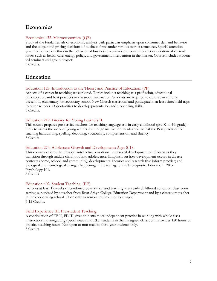# **Economics**

#### Economics 132. Microeconomics. (QR)

Study of the fundamentals of economic analysis with particular emphasis upon consumer demand behavior and the output and pricing decisions of business firms under various market structures. Special attention given to the role of ethics in the behavior of business executives and consumers. Consideration of current issues such as health care, energy policy, and government intervention in the market. Course includes studentled seminars and group projects.

3 Credits.

# <span id="page-48-0"></span>**Education**

#### Education 128. Introduction to the Theory and Practice of Education. (PP)

Aspects of a career in teaching are explored. Topics include: teaching as a profession, educational philosophies, and best practices in classroom instruction. Students are required to observe in either a preschool, elementary, or secondary school New Church classroom and participate in at least three field trips to other schools. Opportunities to develop presentation and storytelling skills. 3 Credits.

#### Education 219. Literacy for Young Learners II.

This course prepares pre-service teachers for teaching language arts in early childhood (pre-K to 4th grade). How to assess the work of young writers and design instruction to advance their skills. Best practices for teaching handwriting, spelling, decoding, vocabulary, comprehension, and fluency. 3 Credits.

#### Education 274. Adolescent Growth and Development: Ages 8-18.

This course explores the physical, intellectual, emotional, and social development of children as they transition through middle childhood into adolescence. Emphasis on how development occurs in diverse contexts (home, school, and community); developmental theories and research that inform practice; and biological and neurological changes happening in the teenage brain. Prerequisite: Education 128 or Psychology 101.

3 Credits.

#### Education 402. Student Teaching. (EE)

Includes at least 12 weeks of combined observation and teaching in an early childhood education classroom setting, supervised by a teacher from Bryn Athyn College Education Department and by a classroom teacher in the cooperating school. Open only to seniors in the education major. 3-12 Credits.

#### Field Experience III. Pre-student Teaching.

A continuation of FE II, FE III gives students more independent practice in working with whole class instruction and integrating special needs and ELL students in their assigned classroom. Provides 120 hours of practice teaching hours. Not open to non-majors; third-year students only. 3 Credits.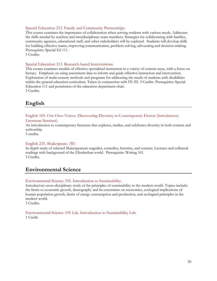#### Special Education 213. Family and Community Partnerships.

This course examines the importance of collaboration when serving students with various needs. Addresses the skills needed by teachers and interdisciplinary team members. Strategies for collaborating with families, community agencies, educational staff, and other stakeholders will be explored. Students will develop skills for building effective teams, improving communication, problem-solving, advocating and decision-making. Prerequisite: Special Ed 111.

3 Credits.

#### Special Education 313. Research-based Interventions.

This course examines models of effective specialized instruction in a variety of content areas, with a focus on literacy. Emphasis on using assessment data to inform and guide effective instruction and intervention. Exploration of multi-sensory methods and programs for addressing the needs of students with disabilities within the general education curriculum. Taken in conjunction with FE III. 3 Credits. Prerequisite: Special Education 111 and permission of the education department chair. 3 Credits.

# <span id="page-49-0"></span>**English**

English 105. Our Own Voices: Discovering Diversity in Contemporary Fiction (Introductory Literature Seminar).

An introduction to contemporary literature that explores, studies, and celebrates diversity in both content and authorship.

3 credits.

#### English 235. Shakespeare. (W)

In-depth study of selected Shakespearean tragedies, comedies, histories, and sonnets. Lectures and collateral readings with background of the Elizabethan world. Prerequisite: Writing 101. 3 Credits.

# **Environmental Science**

#### Environmental Science 105. Introduction to Sustainability.

Introductory cross-disciplinary study of the principles of sustainability in the modern world. Topics include: the limits to economic growth, demography and its constraints on economics, ecological implications of human population growth, limits of energy consumption and production, and ecological principles in the modern world.

3 Credits.

<span id="page-49-1"></span>Environmental Science 105 Lab. Introduction to Sustainability Lab. 1 Credit.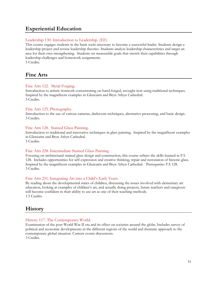# **Experiential Education**

#### <span id="page-50-0"></span>Leadership 130. Introduction to Leadership. (EE)

This course engages students in the basic tools necessary to become a successful leader. Students design a leadership project and review leadership theories. Students analyze leadership characteristics and target an area for their own strengthening. Students set measurable goals that stretch their capabilities through leadership challenges and homework assignments. 3 Credits.

# **Fine Arts**

#### Fine Arts 122. Metal Forging.

Introduction to artistic ironwork concentrating on hand-forged, wrought iron using traditional techniques. Inspired by the magnificent examples in Glencairn and Bryn Athyn Cathedral. 3 Credits.

#### Fine Arts 125. Photography.

Introduction to the use of various cameras, darkroom techniques, alternative processing, and basic design. 3 Credits.

#### Fine Arts 128. Stained Glass Painting.

Introduction to traditional and innovative techniques in glass painting. Inspired by the magnificent examples in Glencairn and Bryn Athyn Cathedral. 3 Credits.

#### Fine Arts 228. Intermediate Stained Glass Painting

Focusing on architectural stained glass design and construction, this course refines the skills learned in FA 128. Includes opportunities for self-expression and creative thinking, repair and restoration of historic glass. Inspired by the magnificent examples in Glencairn and Bryn Athyn Cathedral. Prerequisite: FA 128. 3 Credits.

#### <span id="page-50-1"></span>Fine Arts 251. Integrating Art into a Child's Early Years.

By reading about the developmental states of children, discussing the issues involved with elementary art education, looking at examples of children's art, and actually doing projects, future teachers and caregivers will become confident in their ability to use art as one of their teaching methods. 1.5 Credits.

# **History**

#### History 117. The Contemporary World.

Examination of the post-World War II era and its effect on societies around the globe. Includes survey of political and economic developments in the different regions of the world and thematic approach to the contemporary global situation. Current events discussions. 3 Credits.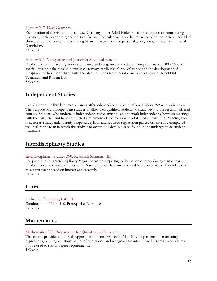#### History 217. Nazi Germany.

Examination of the rise and fall of Nazi Germany under Adolf Hitler and a consideration of contributing historical, social, economic, and political factors. Particular focus on the impact on German society, individual choice, and philosophies underpinning Nazism: fascism, cult of personality, eugenics, anti-Semitism, social Darwinism.

3 Credits.

#### History 311. Vengeance and Justice in Medieval Europe.

Exploration of intersecting notions of justice and vengeance in medieval European law, ca. 500 - 1500. Of special interest is the tension between customary, retributive forms of justice and the development of jurisprudence based on Christianity and ideals of Christian rulership. Includes a survey of select Old Testament and Roman laws.

3 Credits.

# <span id="page-51-0"></span>**Independent Studies**

In addition to the listed courses, all areas offer independent studies numbered 299 or 399 with variable credit. The purpose of an independent study is to allow well-qualified students to study beyond the regularly offered courses. Students who undertake independent studies must be able to work independently between meetings with the instructor and have completed a minimum of 33 credits with a GPA of at least 2.70. Planning ahead is necessary: independent study proposals, syllabi, and required registration paperwork must be completed well before the term in which the study is to occur. Full details can be found in the undergraduate student handbook.

# <span id="page-51-1"></span>**Interdisciplinary Studies**

#### Interdisciplinary Studies 390. Research Seminar. (IL)

For juniors in the Interdisciplinary Major. Focus on preparing to do the senior essay during senior year. Explore topics and research questions. Research scholarly sources related to a chosen topic. Formulate draft thesis statement based on interest and research. 2 Credits.

# <span id="page-51-2"></span>**Latin**

Latin 111. Beginning Latin II. Continuation of Latin 110. Prerequisite: Latin 110. 3 Credits.

# <span id="page-51-3"></span>**Mathematics**

#### Mathematics 095. Preparation for Quantitative Reasoning.

This course provides additional support for students enrolled in Math101. Topics include translating expressions, building equations, order of operations, and recognizing context. Credit from this course may not be used to satisfy degree requirements. 1 Credit.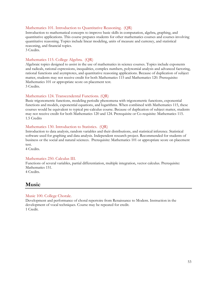#### Mathematics 101. Introduction to Quantitative Reasoning. (QR)

Introduction to mathematical concepts to improve basic skills in computation, algebra, graphing, and quantitative applications. This course prepares students for other mathematics courses and courses involving quantitative reasoning. Topics include linear modeling, units of measure and currency, and statistical reasoning, and financial topics.

3 Credits.

#### Mathematics 115. College Algebra. (QR)

Algebraic topics designed to assist in the use of mathematics in science courses. Topics include exponents and radicals, rational expressions, inequalities, complex numbers, polynomial analysis and advanced factoring, rational functions and asymptotes, and quantitative reasoning applications. Because of duplication of subject matter, students may not receive credit for both Mathematics 115 and Mathematics 120. Prerequisite: Mathematics 101 or appropriate score on placement test. 3 Credits.

#### Mathematics 124. Transcendental Functions. (QR)

Basic trigonometric functions, modeling periodic phenomena with trigonometric functions, exponential functions and models, exponential equations, and logarithms. When combined with Mathematics 115, these courses would be equivalent to typical pre-calculus course. Because of duplication of subject matter, students may not receive credit for both Mathematics 120 and 124. Prerequisite or Co-requisite: Mathematics 115. 1.5 Credits

#### Mathematics 130. Introduction to Statistics. (QR)

Introduction to data analysis, random variables and their distributions, and statistical inference. Statistical software used for graphing and data analysis. Independent research project. Recommended for students of business or the social and natural sciences. Prerequisite: Mathematics 101 or appropriate score on placement test.

4 Credits.

#### Mathematics 250. Calculus III.

Functions of several variables, partial differentiation, multiple integration, vector calculus. Prerequisite: Mathematics 151. 4 Credits.

# <span id="page-52-0"></span>**Music**

#### <span id="page-52-1"></span>Music 100. College Chorale.

Development and performance of choral repertoire from Renaissance to Modern. Instruction in the development of vocal techniques. Course may be repeated for credit. 1 Credit.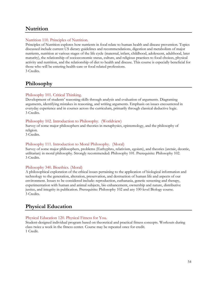# **Nutrition**

#### Nutrition 110. Principles of Nutrition.

Principles of Nutrition explores how nutrients in food relate to human health and disease prevention. Topics discussed include current US dietary guidelines and recommendations, digestion and metabolism of major nutrients, nutrition at various stages of the life cycle (maternal, infant, childhood, adolescent, adulthood, later maturity), the relationship of socioeconomic status, culture, and religious practices to food choices, physical activity and nutrition, and the relationship of diet to health and disease. This course is especially beneficial for those who will be entering health-care or food related professions. 3 Credits.

# <span id="page-53-0"></span>**Philosophy**

#### <span id="page-53-1"></span>Philosophy 101. Critical Thinking.

Development of students' reasoning skills through analysis and evaluation of arguments. Diagraming arguments, identifying mistakes in reasoning, and writing arguments. Emphasis on issues encountered in everyday experience and in courses across the curriculum, primarily through classical deductive logic. 3 Credits.

#### Philosophy 102. Introduction to Philosophy. (Worldview)

Survey of some major philosophers and theories in metaphysics, epistemology, and the philosophy of religion.

3 Credits.

#### Philosophy 111. Introduction to Moral Philosophy. (Moral)

Survey of some major philosophers, problems (Euthyphro, relativism, egoism), and theories (aretaic, deontic, utilitarian) in moral philosophy. Strongly recommended: Philosophy 101. Prerequisite: Philosophy 102. 3 Credits.

#### Philosophy 340. Bioethics. (Moral)

A philosophical exploration of the ethical issues pertaining to the application of biological information and technology to the generation, alteration, preservation, and destruction of human life and aspects of our environment. Issues to be considered include: reproduction, euthanasia, genetic screening and therapy, experimentation with human and animal subjects, bio enhancement, ownership and nature, distributive justice, and integrity in publication. Prerequisite: Philosophy 102 and any 100-level Biology course. 3 Credits.

# <span id="page-53-2"></span>**Physical Education**

#### Physical Education 120. Physical Fitness for You.

Student-designed individual program based on theoretical and practical fitness concepts. Workouts during class twice a week in the fitness center. Course may be repeated once for credit. 1 Credit.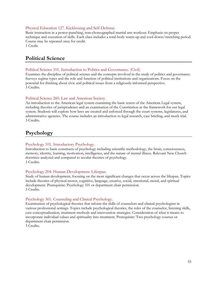#### Physical Education 127. Kickboxing and Self-Defense.

Basic instruction in a power-punching, non-choreographed martial arts workout. Emphasis on proper technique and execution of skills. Each class includes a total-body warm-up and cool-down/stretching period. Course may be repeated once for credit. 1 Credit.

# **Political Science**

#### Political Science 101. Introduction to Politics and Governance. (Civil)

Examines the discipline of political science and the concepts involved in the study of politics and governance. Surveys regime types and the role and function of political institutions and organizations. Focus on the potential for thinking about civic and political issues from a religiously-informed perspective. 3 Credits.

#### Political Science 260. Law and American Society.

An introduction to the American legal system examining the basic tenets of the American Legal system, including theories of jurisprudence and an examination of the Constitution as the framework for our legal system. Students will explore how laws are created and enforced through the court systems, legislatures, and administrative agencies. The course includes an introduction to legal research, case briefing, and mock trial. 3 Credits.

# <span id="page-54-0"></span>**Psychology**

#### <span id="page-54-1"></span>Psychology 101. Introductory Psychology.

Introduction to basic constructs of psychology including scientific methodology, the brain, consciousness, memory, identity, learning, motivation, intelligence, and the nature of mental illness. Relevant New Church doctrines analyzed and compared to secular theories of psychology. 3 Credits.

#### Psychology 204. Human Development: Lifespan.

Study of human development, focusing on the most significant changes that occur across the lifespan. Topics include theories of physical-motor, cognitive, language, creative, social, emotional, moral, and spiritual development. Prerequisite: Psychology 101 or department chair permission. 3 Credits.

#### Psychology 301. Counseling and Clinical Psychology.

Examination of psychological theories that inform the skills of counselors and clinical psychologists in various professional settings. Topics include psychological theories, the roles of the counselor, listening skills, case conceptualization, treatment methods and intervention strategies. Consideration of what it means to incorporate individual values and spirituality into treatment. Prerequisite: Two psychology courses or department chair permission.

3 Credits.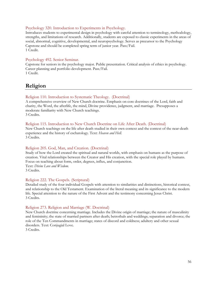#### Psychology 320. Introduction to Experiments in Psychology.

Introduces students to experimental design in psychology with careful attention to terminology, methodology, strengths, and limitations of research. Additionally, students are exposed to classic experiments in the areas of social, abnormal, cognitive, developmental, and neuropsychology. Serves as precursor to the Psychology Capstone and should be completed spring term of junior year. Pass/Fail. 1 Credit.

#### Psychology 492. Senior Seminar.

Capstone for seniors in the psychology major. Public presentation. Critical analysis of ethics in psychology. Career planning and portfolio development. Pass/Fail. 1 Credit.

# **Religion**

#### Religion 110. Introduction to Systematic Theology. (Doctrinal)

A comprehensive overview of New Church doctrine. Emphasis on core doctrines of the Lord, faith and charity, the Word, the afterlife, the mind, Divine providence, judgment, and marriage. Presupposes a moderate familiarity with New Church teachings. 3 Credits.

#### Religion 115. Introduction to New Church Doctrine on Life After Death. (Doctrinal)

New Church teachings on the life after death studied in their own context and the context of the near-death experience and the history of eschatology. Text: *Heaven and Hell.* 3 Credits.

#### Religion 205. God, Man, and Creation. (Doctrinal)

Study of how the Lord created the spiritual and natural worlds, with emphasis on humans as the purpose of creation. Vital relationships between the Creator and His creation, with the special role played by humans. Focus on teaching about form, order, degrees, influx, and conjunction. Text: *Divine Love and Wisdom*. 3 Credits.

#### Religion 222. The Gospels. (Scriptural)

Detailed study of the four individual Gospels with attention to similarities and distinctions, historical context, and relationship to the Old Testament. Examination of the literal meaning and its significance to the modern life. Special attention to the nature of the First Advent and the testimony concerning Jesus Christ. 3 Credits.

#### Religion 273. Religion and Marriage (W. Doctrinal)

New Church doctrine concerning marriage. Includes the Divine origin of marriage; the nature of masculinity and femininity; the state of married partners after death; betrothals and weddings; separation and divorce; the role of the Ten Commandments in marriage; states of discord and coldness; adultery and other sexual disorders. Text: Conjugial Love.

3 Credits.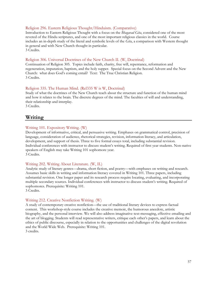#### Religion 296. Eastern Religious Thought/Hinduism. (Comparative)

Introduction to Eastern Religious Thought with a focus on the *Bhagavad Gita*, considered one of the most revered of the Hindu scriptures, and one of the most important religious classics in the world. Course includes an in-depth study of the literal and symbolic levels of the *Gita*, a comparison with Western thought in general and with New Church thought in particular. 3 Credits.

#### Religion 306. Universal Doctrines of the New Church II. (W, Doctrinal)

Continuation of Religion 305. Topics include faith, charity, free will, repentance, reformation and regeneration, imputation, baptism, and the holy supper. Special focus on the Second Advent and the New Church: what does God's coming entail? Text: The True Christian Religion. 3 Credits.

#### Religion 335. The Human Mind. (Rel335 W is W, Doctrinal)

Study of what the doctrines of the New Church teach about the structure and function of the human mind and how it relates to the brain. The discrete degrees of the mind. The faculties of will and understanding, their relationship and interplay.

<span id="page-56-1"></span><span id="page-56-0"></span>3 Credits.

#### **Writing**

#### <span id="page-56-2"></span>Writing 101. Expository Writing. (W)

Development of informative, critical, and persuasive writing. Emphases on grammatical control, precision of language, consideration of audience, rhetorical strategies, revision, information literacy, and articulation, development, and support of thesis. Three to five formal essays total, including substantial revision. Individual conferences with instructor to discuss student's writing. Required of first year students. Non-native speakers of English may take Writing 101 sophomore year. 3 Credits.

#### Writing 202. Writing About Literature. (W, IL)

Analytic study of literary genres—drama, short fiction, and poetry—with emphases on writing and research. Assumes basic skills in writing and information literacy covered in Writing 101. Three papers, including substantial revision. One longer paper and its research process require locating, evaluating, and incorporating multiple secondary sources. Individual conferences with instructor to discuss student's writing. Required of sophomores. Prerequisite: Writing 101.

3 Credits.

#### Writing 212. Creative Nonfiction Writing. (W)

A study of contemporary creative nonfiction—the use of traditional literary devices to express factual content. This workshop-style course includes the creative memoir, the humorous anecdote, artistic biography, and the personal interview. We will also address imaginative text-messaging, effective emailing and the art of blogging. Students will read representative writers, critique each other's papers, and learn about the ethics of public discourse, especially in relation to the opportunities and challenges of the digital revolution and the World Wide Web. Prerequisite: Writing 101. 3 credits.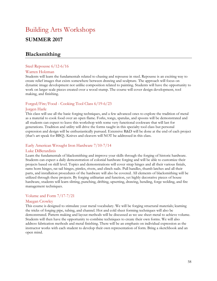# Building Arts Workshops **SUMMER 2017**

# **Blacksmithing**

#### Steel Repousse 6/12-6/16

#### Warren Holzman

Students will learn the fundamentals related to chasing and repousse in steel. Repousse is an exciting way to create relief images that exists somewhere between drawing and sculpture. The approach will focus on dynamic image development not unlike composition related to painting. Students will have the opportunity to work on larger scale pieces created over a wood stump. The course will cover design development, tool making, and finishing.

#### Forged/Fire/Food - Cooking Tool Class 6/19-6/23

#### Jorgen Harle

This class will use all the basic forging techniques, and a few advanced ones to explore the tradition of metal as a material to cook food over an open flame. Forks, tongs, spatulas, and spoons will be demonstrated and all students can expect to leave this workshop with some very functional cookware that will last for generations. Tradition and utility will drive the forms taught in this specialty tool class but personal expression and design will be enthusiastically pursued. Extensive R&D will be done at the end of each project (that's art speak for BBQ). Knives and cleavers will NOT be addressed in this class.

#### Early American Wrought Iron Hardware 7/10-7/14

#### Luke DiBerardinis

Learn the fundamentals of blacksmithing and improve your skills through the forging of historic hardware. Students can expect a daily demonstration of colonial hardware forging and will be able to customize their projects based on skill level. Topics and demonstrations will cover strap hinges and all their various finials, rams horn hinges, rat tail hinges, pintles, rivets, and clinch nails. Pull handles, thumb latches and all their parts, and installation procedures of the hardware will also be covered. All elements of blacksmithing will be utilized through these projects. By forging utilitarian and function, yet highly decorative pieces of house hardware, students will learn slitting, punching, drifting, upsetting, drawing, bending, forge welding, and fire management techniques.

#### Volume and Form 7/17-7/21

#### Maegan Crowley

This course is designed to stimulate your metal vocabulary. We will be forging structural materials; learning the tricks of forging pipe, tubing, and channel. Hot and cold sheet forming techniques will also be demonstrated. Pattern making and layout methods will be discussed as we use sheet metal to achieve volume. Students will then have the opportunity to combine techniques to create their own forms. We will also address fabrication methods and metal finishing. There will be an emphasis on individual expression as the instructor works with each student to develop their own representation of form. Bring a sketchbook and an open mind.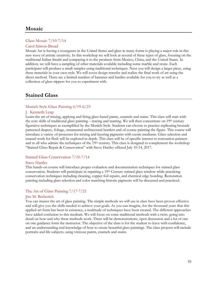# **Mosaic**

#### Glass Mosaic 7/10-7/14

#### Carol Stirton-Broad

Mosaic Art is having a resurgence in the United States and glass in many forms is playing a major role in this new wave of artistic creativity. In this workshop we will look at several of these types of glass, focusing on the traditional Italian Smalti and comparing it to the products from Mexico, China, and the United States. In addition, we will have a sampling of other materials available including some marble and stone. Each participant will produce a small sampler using traditional techniques. Next you will design a larger piece, using these materials in your own style. We will cover design transfer and realize the final work of art using the direct method. There are a limited number of hammer and hardies available for you to try as well as a collection of glass nippers for you to experiment with.

# **Stained Glass**

#### Munich Style Glass Painting 6/19-6/23

#### J. Kenneth Leap

Learn the art of mixing, applying and firing glass-based paints, enamels and stains. This class will start with the core skills of traditional glass painting – tracing and matting. We will then concentrate on 19<sup>th</sup> century figurative techniques as exemplified by the Munich Style. Students can choose to practice replicating brocade patterned drapery, foliage, ornamental architectural borders and of course painting the figure. This course will introduce a variety of processes for mixing and layering pigments with exotic mediums. Glass selection and enamel work for flesh will be explored in depth. This class will be of specific interest to restoration painters and to all who admire the techniques of the 19<sup>th</sup> century. This class is designed to complement the workshop "Stained Glass Repair & Conservation" with Steve Hartley offered July 10-14, 2017.

#### Stained Glass Conservation 7/10-7/14

#### Stave Hartley

This hands-on course will introduce proper evaluation and documentation techniques for stained glass conservation. Students will participate in repairing a 19th Century stained glass window while practicing conservation techniques including cleaning, copper foil repairs, and chemical edge bonding. Restoration painting including glass selection and color matching historic pigments will be discussed and practiced.

#### The Art of Glass Painting 7/17-7/21

#### Jim M. Berberich

You can master the art of glass painting. The simple methods we will use in class have been proven effective and will give you the skills needed to achieve your goals. As you can imagine, for the thousand years that this applied art form has been in existence, a multitude of techniques have been created. The different approaches have added confusion to this medium. We will focus on some traditional methods with a twist, going into detail on how and why these methods work. There will be demonstrations, open discussion and a lot of one on one guidance form the instructor. The objective of the class is for the student to leave with confidence, and an understanding and knowledge of how to create beautiful glass paintings. The class projects will include portraits and life subjects, using vitreous paints, enamels and stains.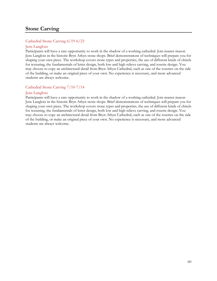# **Stone Carving**

#### Cathedral Stone Carving 6/19-6/23

#### Jens Langlotz

Participants will have a rare opportunity to work in the shadow of a working cathedral. Join master mason Jens Langlotz in the historic Bryn Athyn stone shops. Brief demonstrations of techniques will prepare you for shaping your own piece. The workshop covers stone types and properties, the use of different kinds of chisels for texturing, the fundamentals of letter design, both low and high relieve carving, and rosette design. You may choose to copy an architectural detail from Bryn Athyn Cathedral, such as one of the rosettes on the side of the building, or make an original piece of your own. No experience is necessary, and more advanced students are always welcome.

#### Cathedral Stone Carving 7/10-7/14

#### Jens Langlotz

Participants will have a rare opportunity to work in the shadow of a working cathedral. Join master mason Jens Langlotz in the historic Bryn Athyn stone shops. Brief demonstrations of techniques will prepare you for shaping your own piece. The workshop covers stone types and properties, the use of different kinds of chisels for texturing, the fundamentals of letter design, both low and high relieve carving, and rosette design. You may choose to copy an architectural detail from Bryn Athyn Cathedral, such as one of the rosettes on the side of the building, or make an original piece of your own. No experience is necessary, and more advanced students are always welcome.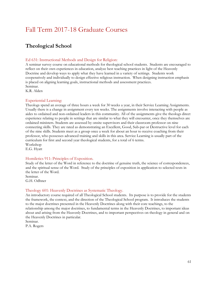# Fall Term 2017-18 Graduate Courses

# **Theological School**

#### Ed 631: Instructional Methods and Design for Religion:

A seminar survey course on educational methods for theological school students. Students are encouraged to reflect on their own experiences in education, analyze best teaching practices in light of the Heavenly Doctrine and develop ways to apply what they have learned in a variety of settings. Students work cooperatively and individually to design effective religious instruction. When designing instruction emphasis is placed on aligning learning goals, instructional methods and assessment practices. Seminar.

K.R. Alden

#### Experiential Learning:

Theologs spend an average of three hours a week for 30 weeks a year, in their Service Learning Assignments. Usually there is a change in assignment every ten weeks. The assignments involve interacting with people as aides to ordained and non-ordained leaders in this community. All of the assignments give the theologs direct experience relating to people in settings that are similar to what they will encounter, once they themselves are ordained ministers. Students are assessed by onsite supervisors and their classroom professor on nine connecting skills. They are rated as demonstrating an Excellent, Good, Sub-par or Destructive level for each of the nine skills. Students meet as a group once a week for about an hour to receive coaching from their professor, who possesses advanced training and skills in this area. Service Learning is usually part of the curriculum for first and second year theological students, for a total of 6 terms.

Workshop E.G. Hyatt

#### Homiletics 911: Principles of Exposition.

Study of the letter of the Word in reference to the doctrine of genuine truth, the science of correspondences, and the spiritual sense of the Word. Study of the principles of exposition in application to selected texts in the letter of the Word.

Seminar. G.H. Odhner

#### Theology 601: Heavenly Doctrines as Systematic Theology.

An introductory course required of all Theological School students. Its purpose is to provide for the students the framework, the context, and the direction of the Theological School program. It introduces the students to the major doctrines presented in the Heavenly Doctrines along with their core teachings, to the relationship among the major doctrines, to fundamental terms in the Heavenly Doctrines, to important ideas about and arising from the Heavenly Doctrines, and to important perspectives on theology in general and on the Heavenly Doctrines in particular.

Seminar. P.A. Rogers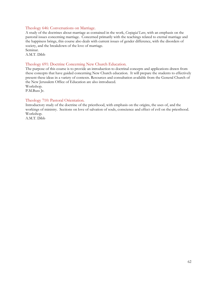#### Theology 646: Conversations on Marriage.

A study of the doctrines about marriage as contained in the work, *Conjugial Love*, with an emphasis on the pastoral issues concerning marriage. Concerned primarily with the teachings related to eternal marriage and the happiness brings, this course also deals with current issues of gender difference, with the disorders of society, and the breakdown of the love of marriage.

Seminar. A.M.T. Dibb

#### Theology 691: Doctrine Concerning New Church Education.

The purpose of this course is to provide an introduction to doctrinal concepts and applications drawn from these concepts that have guided concerning New Church education. It will prepare the students to effectively present these ideas in a variety of contexts. Resources and consultation available from the General Church of the New Jerusalem Office of Education are also introduced. Workshop.

P.M.Buss Jr.

#### Theology 710: Pastoral Orientation.

Introductory study of the doctrine of the priesthood, with emphasis on the origins, the uses of, and the workings of ministry. Sections on love of salvation of souls, conscience and effect of evil on the priesthood. Workshop.

A.M.T. Dibb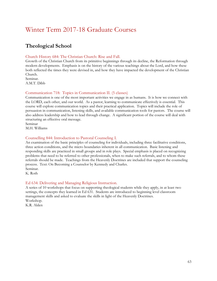# <span id="page-62-0"></span>Winter Term 2017-18 Graduate Courses

# **Theological School**

#### Church History 684: The Christian Church: Rise and Fall.

Growth of the Christian Church from its primitive beginnings through its decline, the Reformation through modern developments. Emphasis is on the history of the various teachings about the Lord, and how these both reflected the times they were devised in, and how they have impacted the development of the Christian Church.

Seminar. A.M.T. Dibb

#### Communication 718: Topics in Communication II. (5 classes)

Communication is one of the most important activities we engage in as humans. It is how we connect with the LORD, each other, and our world. As a pastor, learning to communicate effectively is essential. This course will explore communication topics and their practical application. Topics will include the role of persuasion in communication, listening skills, and available communication tools for pastors. The course will also address leadership and how to lead through change. A significant portion of the course will deal with structuring an effective oral message.

Seminar M.H. Williams

#### Counselling 844: Introduction to Pastoral Counseling I.

An examination of the basic principles of counseling for individuals, including three facilitative conditions, three action conditions, and the micro boundaries inherent in all communication. Basic listening and responding skills are practiced in small groups and in role plays. Special emphasis is placed on recognizing problems that need to be referred to other professionals, when to make such referrals, and to whom these referrals should be made. Teachings from the Heavenly Doctrines are included that support the counseling process. Text: On Becoming a Counselor by Kennedy and Charles. Seminar.

K. Roth

#### Ed 634: Delivering and Managing Religious Instruction.

A series of 10 workshops that focus on supporting theological students while they apply, in at least two settings, the concepts they learned in Ed 631. Students are introduced to beginning level classroom management skills and asked to evaluate the skills in light of the Heavenly Doctrines. Workshop.

K.R. Alden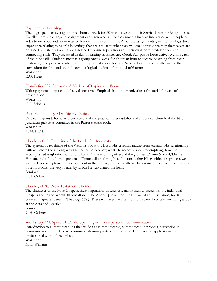#### Experiential Learning.

Theologs spend an average of three hours a week for 30 weeks a year, in their Service Learning Assignments. Usually there is a change in assignment every ten weeks. The assignments involve interacting with people as aides to ordained and non-ordained leaders in this community. All of the assignments give the theologs direct experience relating to people in settings that are similar to what they will encounter, once they themselves are ordained ministers. Students are assessed by onsite supervisors and their classroom professor on nine connecting skills. They are rated as demonstrating an Excellent, Good, Sub-par or Destructive level for each of the nine skills. Students meet as a group once a week for about an hour to receive coaching from their professor, who possesses advanced training and skills in this area. Service Learning is usually part of the curriculum for first and second year theological students, for a total of 6 terms. Workshop

E.G. Hyatt

#### Homiletics 932: Sermons: A Variety of Topics and Focus.

Writing general purpose and festival sermons. Emphasis is upon organization of material for ease of presentation. Workshop.

G.R. Schnarr

#### Pastoral Theology 848: Priestly Duties.

Pastoral responsibilities. A broad review of the practical responsibilities of a General Church of the New Jerusalem pastor as contained in the Pastor's Handbook. Workshop. A. M.T. Dibb

#### Theology 612. Doctrine of the Lord: The Incarnation

The systematic teachings of the Writings about the Lord: His essential nature from eternity; His relationship with us before the advent; why He needed to "come"; what He accomplished (redemption), how He accomplished it (glorification of His human); the enduring effect of the glorified Divine Natural/Divine Human, and of the Lord's presence /"proceeding" through it. In considering His glorification process we look at His conception and development in the human, and especially at His spiritual progress through states of temptations, the very means by which He subjugated the hells. Seminar.

G.H. Odhner

#### Theology 628. New Testament Themes.

The character of the Four Gospels, their inspiration, differences, major themes present in the individual Gospels and in the overall dispensation. (The Apocalypse will not be left out of this discussion, but is covered in greater detail in Theology 668.) There will be some attention to historical context, including a look at the Acts and Epistles.

Seminar. G.H. Odhner

#### Workshop 720: Speech I: Public Speaking and Interpersonal Communication.

Introduction to communications theory: Self as communicator, communication process, perception in communication, and effective communication—qualities and barriers. Emphasis on applications to professional work of the priest. Workshop.

M.H. Williams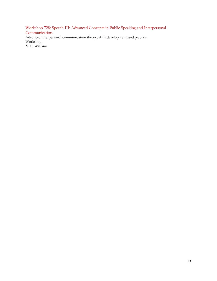Workshop 728: Speech III: Advanced Concepts in Public Speaking and Interpersonal Communication. Advanced interpersonal communication theory, skills development, and practice. Workshop. M.H. Williams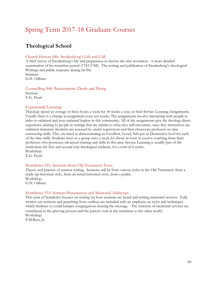# <span id="page-65-0"></span>Spring Term 2017-18 Graduate Courses

# **Theological School**

#### Church History 686: Swedenborg's Life and Call.

A brief survey of Swedenborg's life and preparation to receive the new revelation. A more detailed examination of his transition period (1743-1748). The writing and publication of Swedenborg's theological Writings and public response during his life. Seminar.

G.H. Odhner

Counselling 846: Bereavement, Death and Dying. Seminar. E.G. Hyatt

#### Experiential Learning:

Theologs spend an average of three hours a week for 30 weeks a year, in their Service Learning Assignments. Usually there is a change in assignment every ten weeks. The assignments involve interacting with people as aides to ordained and non-ordained leaders in this community. All of the assignments give the theologs direct experience relating to people in settings that are similar to what they will encounter, once they themselves are ordained ministers. Students are assessed by onsite supervisors and their classroom professor on nine connecting skills. They are rated as demonstrating an Excellent, Good, Sub-par or Destructive level for each of the nine skills. Students meet as a group once a week for about an hour to receive coaching from their professor, who possesses advanced training and skills in this area. Service Learning is usually part of the curriculum for first and second year theological students, for a total of 6 terms. Workshop.

E.G. Hyatt

#### Homiletics 921: Sermons from Old Testament Texts.

Theory and practice of sermon writing. Sermons will be from various styles in the Old Testament: from a made-up historical story, from an actual historical story, from a psalm. Workshop.

G.H. Odhner

#### Homiletics 933: Sermon Presentation and Memorial Addresses.

This term of homiletics focuses on writing for how sermons are heard and writing memorial services. Fully written out sermons and preaching from outlines are included with an emphasis on styles and techniques which facilitate or could hamper congregations hearing the message. The function of memorial services are considered in the grieving process and the pastor's role in the transition to the other world. Workshop. P.M.Buss, Jr.